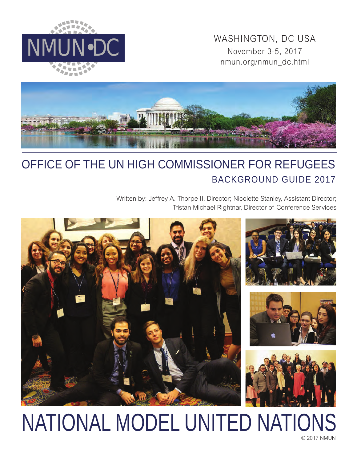

WASHINGTON, DC USA<br>November 3-5, 2017 November 3-5, 2017 nmun.org/nmun\_dc.html



## OFFICE OF THE UN HIGH COMMISSIONER FOR REFUGEES BACKGROUND GUIDE 2017

Written by: Jeffrey A. Thorpe II, Director; Nicolette Stanley, Assistant Director; Tristan Michael Rightnar, Director of Conference Services



# © 2017 NMUN NATIONAL MODEL UNITED NATIONS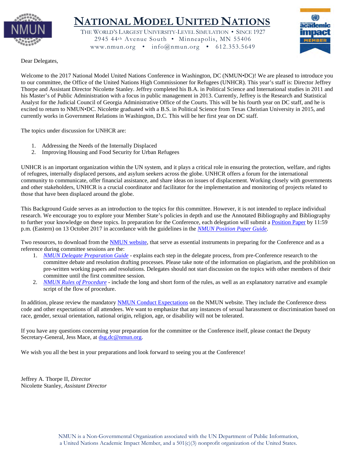

## **NATIONAL MODEL UNITED NATIONS**

THE WORLD'S LARGEST UNIVERSITY-LEVEL SIMULATION • SINCE 1927 2945 44th Avenue South • Minneapolis, MN 55406 www.nmun.org •  $info@$ nmun.org • 612.353.5649



Dear Delegates,

Welcome to the 2017 National Model United Nations Conference in Washington, DC (NMUN•DC)! We are pleased to introduce you to our committee, the Office of the United Nations High Commissioner for Refugees (UNHCR). This year's staff is: Director Jeffrey Thorpe and Assistant Director Nicolette Stanley. Jeffrey completed his B.A. in Political Science and International studies in 2011 and his Master's of Public Administration with a focus in public management in 2013. Currently, Jeffrey is the Research and Statistical Analyst for the Judicial Council of Georgia Administrative Office of the Courts. This will be his fourth year on DC staff, and he is excited to return to NMUN•DC. Nicolette graduated with a B.S. in Political Science from Texas Christian University in 2015, and currently works in Government Relations in Washington, D.C. This will be her first year on DC staff.

The topics under discussion for UNHCR are:

- 1. Addressing the Needs of the Internally Displaced
- 2. Improving Housing and Food Security for Urban Refugees

UNHCR is an important organization within the UN system, and it plays a critical role in ensuring the protection, welfare, and rights of refugees, internally displaced persons, and asylum seekers across the globe. UNHCR offers a forum for the international community to communicate, offer financial assistance, and share ideas on issues of displacement. Working closely with governments and other stakeholders, UNHCR is a crucial coordinator and facilitator for the implementation and monitoring of projects related to those that have been displaced around the globe.

This Background Guide serves as an introduction to the topics for this committee. However, it is not intended to replace individual research. We encourage you to explore your Member State's policies in depth and use the Annotated Bibliography and Bibliography to further your knowledge on these topics. In preparation for the Conference, each delegation will submit a [Position Paper](http://nmun.org/dc_position_papers.html) by 11:59 p.m. (Eastern) on 13 October 2017 in accordance with the guidelines in the *[NMUN Position Paper Guide](http://nmun.org/downloads/NMUNPPGuide.pdf)*.

Two resources, to download from the [NMUN website,](http://nmun.org/dc_preparations.html) that serve as essential instruments in preparing for the Conference and as a reference during committee sessions are the:

- 1. *[NMUN Delegate Preparation Guide](http://nmun.org/downloads/NMUNDelegatePrepGuide.pdf)* explains each step in the delegate process, from pre-Conference research to the committee debate and resolution drafting processes. Please take note of the information on plagiarism, and the prohibition on pre-written working papers and resolutions. Delegates should not start discussion on the topics with other members of their committee until the first committee session.
- 2. *[NMUN Rules of Procedure](http://nmun.org/downloads/NMUNRules.pdf)* include the long and short form of the rules, as well as an explanatory narrative and example script of the flow of procedure.

In addition, please review the mandatory [NMUN Conduct](http://nmun.org/policies_codes.html) Expectations on the NMUN website. They include the Conference dress code and other expectations of all attendees. We want to emphasize that any instances of sexual harassment or discrimination based on race, gender, sexual orientation, national origin, religion, age, or disability will not be tolerated.

If you have any questions concerning your preparation for the committee or the Conference itself, please contact the Deputy Secretary-General, Jess Mace, at [dsg.dc@nmun.org.](mailto:dsg.dc@nmun.org)

We wish you all the best in your preparations and look forward to seeing you at the Conference!

Jeffrey A. Thorpe II, *Director* Nicolette Stanley, *Assistant Director*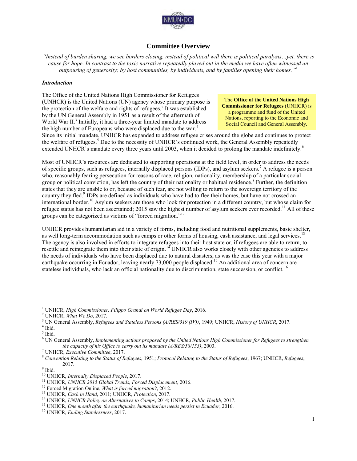

## **Committee Overview**

*"Instead of burden sharing, we see borders closing, instead of political will there is political paralysis…yet, there is cause for hope. In contrast to the toxic narrative repeatedly played out in the media we have often witnessed an outpouring of generosity; by host communities, by individuals, and by families opening their homes."*<sup>1</sup>

#### *Introduction*

The Office of the United Nations High Commissioner for Refugees (UNHCR) is the United Nations (UN) agency whose primary purpose is the protection of the welfare and rights of refugees.<sup>2</sup> It was established by the UN General Assembly in 1951 as a result of the aftermath of World War II.<sup>3</sup> Initially, it had a three-year limited mandate to address the high number of Europeans who were displaced due to the war.<sup>4</sup>

The **Office of the United Nations High Commissioner for Refugees** (UNHCR) is a programme and fund of the United Nations, reporting to the Economic and Social Council and General Assembly.

Since its initial mandate, UNHCR has expanded to address refugee crises around the globe and continues to protect the welfare of refugees.<sup>5</sup> Due to the necessity of UNHCR's continued work, the General Assembly repeatedly extended UNHCR's mandate every three years until 2003, when it decided to prolong the mandate indefinitely.<sup>6</sup>

Most of UNHCR's resources are dedicated to supporting operations at the field level, in order to address the needs of specific groups, such as refugees, internally displaced persons (IDPs), and asylum seekers.<sup>7</sup> A refugee is a person who, reasonably fearing persecution for reasons of race, religion, nationality, membership of a particular social group or political conviction, has left the country of their nationality or habitual residence.<sup>8</sup> Further, the definition states that they are unable to or, because of such fear, are not willing to return to the sovereign territory of the country they fled.<sup>9</sup> IDPs are defined as individuals who have had to flee their homes, but have not crossed an international border.<sup>10</sup> Asylum seekers are those who look for protection in a different country, but whose claim for refugee status has not been ascertained; 2015 saw the highest number of asylum seekers ever recorded.<sup>11</sup> All of these groups can be categorized as victims of "forced migration."<sup>12</sup>

UNHCR provides humanitarian aid in a variety of forms, including food and nutritional supplements, basic shelter, as well long-term accommodation such as camps or other forms of housing, cash assistance, and legal services.<sup>13</sup> The agency is also involved in efforts to integrate refugees into their host state or, if refugees are able to return, to resettle and reintegrate them into their state of origin.<sup>14</sup> UNHCR also works closely with other agencies to address the needs of individuals who have been displaced due to natural disasters, as was the case this year with a major earthquake occurring in Ecuador, leaving nearly 73,000 people displaced.<sup>15</sup> An additional area of concern are stateless individuals, who lack an official nationality due to discrimination, state succession, or conflict.<sup>16</sup>

<sup>1</sup> UNHCR, *High Commissioner, Filippo Grandi on World Refugee Day*, 2016.

<sup>2</sup> UNHCR, *What We Do*, 2017.

<sup>3</sup> UN General Assembly, *Refugees and Stateless Persons (A/RES/319 (IV))*, 1949; UNHCR, *History of UNHCR*, 2017.

<sup>4</sup> Ibid.

<sup>5</sup> Ibid.

<sup>6</sup> UN General Assembly, *Implementing actions proposed by the United Nations High Commissioner for Refugees to strengthen the capacity of his Office to carry out its mandate (A/RES/58/153)*, 2003.

<sup>7</sup> UNHCR, *Executive Committee*, 2017.

<sup>8</sup> *Convention Relating to the Status of Refugees*, 1951; *Protocol Relating to the Status of Refugees*, 1967; UNHCR, *Refugees*, 2017.

<sup>&</sup>lt;sup>9</sup> Ibid.

<sup>10</sup> UNHCR, *Internally Displaced People*, 2017.

<sup>11</sup> UNHCR, *UNHCR 2015 Global Trends, Forced Displacement*, 2016.

<sup>12</sup> Forced Migration Online, *What is forced migration*?, 2012.

<sup>13</sup> UNHCR, *Cash in Hand*, 2011; UNHCR, *Protection*, 2017.

<sup>14</sup> UNHCR, *UNHCR Policy on Alternatives to Camps*, 2014; UNHCR, *Public Health*, 2017.

<sup>15</sup> UNHCR, *One month after the earthquake, humanitarian needs persist in Ecuador*, 2016.

<sup>16</sup> UNHCR*, Ending Statelessness*, 2017.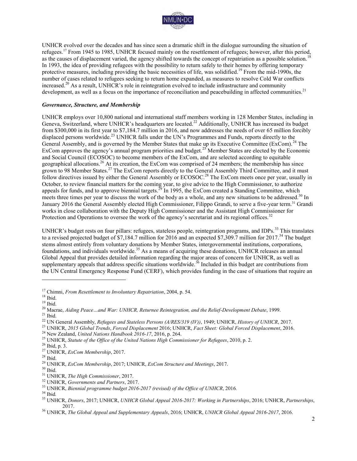

UNHCR evolved over the decades and has since seen a dramatic shift in the dialogue surrounding the situation of refugees.<sup>17</sup> From 1945 to 1985, UNHCR focused mainly on the resettlement of refugees; however, after this period, as the causes of displacement varied, the agency shifted towards the concept of repatriation as a possible solution.<sup>1</sup> In 1993, the idea of providing refugees with the possibility to return safely to their homes by offering temporary protective measures, including providing the basic necessities of life, was solidified.<sup>19</sup> From the mid-1990s, the number of cases related to refugees seeking to return home expanded, as measures to resolve Cold War conflicts increased.<sup>20</sup> As a result, UNHCR's role in reintegration evolved to include infrastructure and community development, as well as a focus on the importance of reconciliation and peacebuilding in affected communities.<sup>21</sup>

#### *Governance, Structure, and Membership*

UNHCR employs over 10,800 national and international staff members working in 128 Member States, including in Geneva, Switzerland, where UNHCR's headquarters are located.<sup>22</sup> Additionally, UNHCR has increased its budget from \$300,000 in its first year to \$7,184.7 million in 2016, and now addresses the needs of over 65 million forcibly displaced persons worldwide.<sup>23</sup> UNHCR falls under the UN's Programmes and Funds, reports directly to the General Assembly, and is governed by the Member States that make up its Executive Committee (ExCom).<sup>24</sup> The ExCom approves the agency's annual program priorities and budget.<sup>25</sup> Member States are elected by the Economic and Social Council (ECOSOC) to become members of the ExCom, and are selected according to equitable geographical allocations.<sup>26</sup> At its creation, the ExCom was comprised of 24 members; the membership has since grown to 98 Member States.<sup>27</sup> The ExCom reports directly to the General Assembly Third Committee, and it must follow directives issued by either the General Assembly or ECOSOC.<sup>28</sup> The ExCom meets once per year, usually in October, to review financial matters for the coming year, to give advice to the High Commissioner, to authorize appeals for funds, and to approve biennial targets.<sup>29</sup> In 1995, the ExCom created a Standing Committee, which meets three times per year to discuss the work of the body as a whole, and any new situations to be addressed.<sup>30</sup> In January 2016 the General Assembly elected High Commissioner, Filippo Grandi, to serve a five-year term.<sup>31</sup> Grandi works in close collaboration with the Deputy High Commissioner and the Assistant High Commissioner for Protection and Operations to oversee the work of the agency's secretariat and its regional offices.<sup>32</sup>

UNHCR's budget rests on four pillars: refugees, stateless people, reintegration programs, and IDPs.<sup>33</sup> This translates to a revised projected budget of \$7,184.7 million for 2016 and an expected \$7,309.7 million for 2017.<sup>34</sup> The budget stems almost entirely from voluntary donations by Member States, intergovernmental institutions, corporations, foundations, and individuals worldwide.<sup>35</sup> As a means of acquiring these donations, UNHCR releases an annual Global Appeal that provides detailed information regarding the major areas of concern for UNHCR, as well as supplementary appeals that address specific situations worldwide.<sup>36</sup> Included in this budget are contributions from the UN Central Emergency Response Fund (CERF), which provides funding in the case of situations that require an

<sup>17</sup> Chimni, *From Resettlement to Involuntary Repatriation*, 2004, p. 54.

 $^{18}$  Ibid.

 $19$  Ibid.

<sup>20</sup> Macrae, *Aiding Peace…and War: UNHCR, Returnee Reintegration, and the Relief-Development Debate*, 1999.  $^{21}$  Ibid.

<sup>22</sup> UN General Assembly, *Refugees and Stateless Persons (A/RES/319 (IV))*, 1949; UNHCR, *History of UNHCR*, 2017.

<sup>23</sup> UNHCR, *2015 Global Trends*, *Forced Displacement* 2016; UNHCR, *Fact Sheet: Global Forced Displacement*, 2016.

<sup>24</sup> New Zealand, *United Nations Handbook 2016-17*, 2016, p. 264.

<sup>25</sup> UNHCR, *Statute of the Office of the United Nations High Commissioner for Refugees*, 2010, p. 2.

<sup>26</sup> Ibid, p. 3.

<sup>27</sup> UNHCR, *ExCom Membership*, 2017.

 $^{28}$  Ibid.

<sup>29</sup> UNHCR, *ExCom Membership*, 2017; UNHCR, *ExCom Structure and Meetings*, 2017.

 $30$  Ibid.

<sup>31</sup> UNHCR, *The High Commissioner*, 2017.

<sup>32</sup> UNHCR, *Governments and Partners*, 2017.

<sup>33</sup> UNHCR, *Biennial programme budget 2016-2017 (revised) of the Office of UNHCR*, 2016*.*

<sup>34</sup> Ibid*.*

<sup>35</sup> UNHCR, *Donors*, 2017; UNHCR, *UNHCR Global Appeal 2016-2017: Working in Partnerships*, 2016; UNHCR, *Partnerships*, 2017.

<sup>36</sup> UNHCR, *The Global Appeal and Supplementary Appeals*, 2016; UNHCR, *UNHCR Global Appeal 2016-2017*, 2016.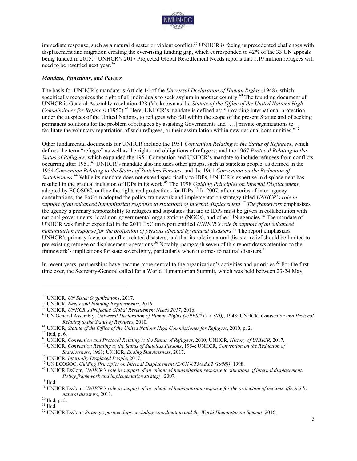

immediate response, such as a natural disaster or violent conflict.<sup>37</sup> UNHCR is facing unprecedented challenges with displacement and migration creating the ever-rising funding gap, which corresponded to 42% of the 33 UN appeals being funded in 2015.<sup>38</sup> UNHCR's 2017 Projected Global Resettlement Needs reports that 1.19 million refugees will need to be resettled next year.<sup>39</sup>

#### *Mandate, Functions, and Powers*

The basis for UNHCR's mandate is Article 14 of the *Universal Declaration of Human Rights* (1948), which specifically recognizes the right of all individuals to seek asylum in another country.<sup>40</sup> The founding document of UNHCR is General Assembly resolution 428 (V), known as the *Statute of the Office of the United Nations High Commissioner for Refugees* (1950).<sup>41</sup> Here, UNHCR's mandate is defined as: "providing international protection, under the auspices of the United Nations, to refugees who fall within the scope of the present Statute and of seeking permanent solutions for the problem of refugees by assisting Governments and […] private organizations to facilitate the voluntary repatriation of such refugees, or their assimilation within new national communities."<sup>42</sup>

Other fundamental documents for UNHCR include the 1951 *Convention Relating to the Status of Refugees*, which defines the term "refugee" as well as the rights and obligations of refugees; and the 1967 *Protocol Relating to the Status of Refugees*, which expanded the 1951 Convention and UNHCR's mandate to include refugees from conflicts occurring after 1951.<sup>43</sup> UNHCR's mandate also includes other groups, such as stateless people, as defined in the 1954 *Convention Relating to the Status of Stateless Persons,* and the 1961 *Convention on the Reduction of Statelessness*. <sup>44</sup> While its mandate does not extend specifically to IDPs, UNHCR's expertise in displacement has resulted in the gradual inclusion of IDPs in its work.<sup>45</sup> The 1998 *Guiding Principles on Internal Displacement*, adopted by ECOSOC, outline the rights and protections for IDPs.<sup>46</sup> In 2007, after a series of inter-agency consultations, the ExCom adopted the policy framework and implementation strategy titled *UNHCR's role in support of an enhanced humanitarian response to situations of internal displacement.<sup>47</sup> The framework* emphasizes the agency's primary responsibility to refugees and stipulates that aid to IDPs must be given in collaboration with national governments, local non-governmental organizations (NGOs), and other UN agencies.<sup>48</sup> The mandate of UNHCR was further expanded in the 2011 ExCom report entitled *UNHCR's role in support of an enhanced humanitarian response for the protection of persons affected by natural disasters*. <sup>49</sup> The report emphasizes UNHCR's primary focus on conflict-related disasters, and that its role in natural disaster relief should be limited to pre-existing refugee or displacement operations.<sup>50</sup> Notably, paragraph seven of this report draws attention to the framework's implications for state sovereignty, particularly when it comes to natural disasters.<sup>51</sup>

In recent years, partnerships have become more central to the organization's activities and priorities.<sup>52</sup> For the first time ever, the Secretary-General called for a World Humanitarian Summit, which was held between 23-24 May

<sup>37</sup> UNHCR, *UN Sister Organizations*, 2017.

<sup>38</sup> UNHCR, *Needs and Funding Requirements*, 2016.

<sup>39</sup> UNHCR, *UNHCR's Projected Global Resettlement Needs 2017*, 2016.

<sup>40</sup> UN General Assembly, *Universal Declaration of Human Rights (A/RES/217 A (III))*, 1948; UNHCR, *Convention and Protocol Relating to the Status of Refugees*, 2010.

<sup>41</sup> UNHCR, *Statute of the Office of the United Nations High Commissioner for Refugees*, 2010, p. 2.

 $42$  Ibid, p. 6.

<sup>43</sup> UNHCR, *Convention and Protocol Relating to the Status of Refugees*, 2010; UNHCR, *History of UNHCR*, 2017.

<sup>44</sup> UNHCR, *Convention Relating to the Status of Stateless Persons*, 1954; UNHCR, *Convention on the Reduction of Statelessness*, 1961; UNHCR, *Ending Statelessness*, 2017.

<sup>45</sup> UNHCR, *Internally Displaced People*, 2017.

<sup>46</sup> UN ECOSOC, *Guiding Principles on Internal Displacement (E/CN.4/53/Add.2 (1998))*, 1998.

<sup>47</sup> UNHCR ExCom, *UNHCR's role in support of an enhanced humanitarian response to situations of internal displacement: Policy framework and implementation strategy*, 2007*.* 

 $^{\rm 48}$  Ibid.

<sup>49</sup> UNHCR ExCom, *UNHCR's role in support of an enhanced humanitarian response for the protection of persons affected by natural disasters*, 2011.

<sup>50</sup> Ibid, p. 3.

 $51$  Ibid.

<sup>52</sup> UNHCR ExCom, *Strategic partnerships, including coordination and the World Humanitarian Summit*, 2016.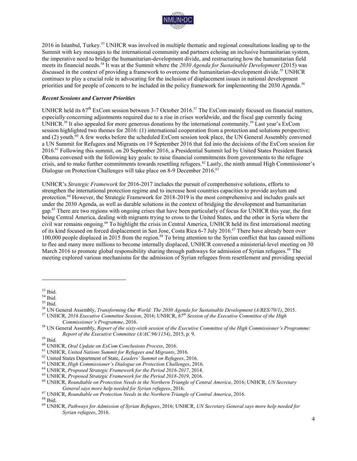

2016 in Istanbul, Turkey.<sup>53</sup> UNHCR was involved in multiple thematic and regional consultations leading up to the Summit with key messages to the international community and partners echoing an inclusive humanitarian system, the imperative need to bridge the humanitarian-development divide, and restructuring how the humanitarian field meets its financial needs.<sup>54</sup> It was at the Summit where the *2030 Agenda for Sustainable Development* (2015) was discussed in the context of providing a framework to overcome the humanitarian-development divide.<sup>55</sup> UNHCR continues to play a crucial role in advocating for the inclusion of displacement issues in national development priorities and for people of concern to be included in the policy framework for implementing the 2030 Agenda.<sup>56</sup>

#### *Recent Sessions and Current Priorities*

UNHCR held its  $67<sup>th</sup>$  ExCom session between 3-7 October 2016.<sup>57</sup> The ExCom mainly focused on financial matters, especially concerning adjustments required due to a rise in crises worldwide, and the fiscal gap currently facing UNHCR.<sup>58</sup> It also appealed for more generous donations by the international community.<sup>59</sup> Last year's ExCom session highlighted two themes for 2016: (1) international cooperation from a protection and solutions perspective; and (2) youth.<sup>60</sup> A few weeks before the scheduled ExCom session took place, the UN General Assembly convened a UN Summit for Refugees and Migrants on 19 September 2016 that fed into the decisions of the ExCom session for 2016.<sup>61</sup> Following this summit, on 20 September 2016, a Presidential Summit led by United States President Barack Obama convened with the following key goals: to raise financial commitments from governments to the refugee crisis, and to make further commitments towards resettling refugees.<sup>62</sup> Lastly, the ninth annual High Commissioner's Dialogue on Protection Challenges will take place on 8-9 December 2016.<sup>63</sup>

UNHCR's *Strategic Framework* for 2016-2017 includes the pursuit of comprehensive solutions, efforts to strengthen the international protection regime and to increase host countries capacities to provide asylum and protection.<sup>64</sup> However, the Strategic Framework for 2018-2019 is the most comprehensive and includes goals set under the 2030 Agenda, as well as durable solutions in the context of bridging the development and humanitarian gap.<sup>65</sup> There are two regions with ongoing crises that have been particularly of focus for UNHCR this year, the first being Central America, dealing with migrants trying to cross to the United States, and the other in Syria where the civil war remains ongoing.<sup>66</sup> To highlight the crisis in Central America, UNHCR held its first international meeting of its kind focused on forced displacement in San Jose, Costa Rica 6-7 July 2016.<sup>67</sup> There have already been over 100,000 people displaced in 2015 from the region.<sup>68</sup> To bring attention to the Syrian conflict that has caused millions to flee and many more millions to become internally displaced, UNHCR convened a ministerial-level meeting on 30 March 2016 to promote global responsibility sharing through pathways for admission of Syrian refugees.<sup>69</sup> The meeting explored various mechanisms for the admission of Syrian refugees from resettlement and providing special

<sup>53</sup> Ibid.

<sup>54</sup> Ibid.  $55$  Ibid.

<sup>56</sup> UN General Assembly, *Transforming Our World: The 2030 Agenda for Sustainable Development (A/RES/70/1)*, 2015.

<sup>57</sup> UNHCR, *2016 Executive Committee Session*, 2016; UNHCR, *67th Session of the Executive Committee of the High Commissioner's Programme*, 2016.

<sup>58</sup> UN General Assembly, *Report of the sixty-sixth session of the Executive Committee of the High Commissioner's Programme: Report of the Executive Committee (A/AC.96/1154)*, 2015, p. 9.

<sup>59</sup> Ibid.

<sup>60</sup> UNHCR, *Oral Update on ExCom Conclusions Process*, 2016.

<sup>61</sup> UNHCR, *United Nations Summit for Refugees and Migrants*, 2016.

<sup>62</sup> United States Department of State, *Leaders' Summit on Refugees*, 2016.

<sup>63</sup> UNHCR, *High Commissioner's Dialogue on Protection Challenges*, 2016.

<sup>64</sup> UNHCR, *Proposed Strategic Framework for the Period 2016-2017*, 2014.

<sup>65</sup> UNHCR, *Proposed Strategic Framework for the Period 2018-2019*, 2016.

<sup>66</sup> UNHCR, *Roundtable on Protection Needs in the Northern Triangle of Central America*, 2016; UNHCR, *UN Secretary General says more help needed for Syrian refugees*, 2016.

<sup>67</sup> UNHCR, *Roundtable on Protection Needs in the Northern Triangle of Central America*, 2016.

 $^{68}$  Ibid.

<sup>69</sup> UNHCR, *Pathways for Admission of Syrian Refugees*, 2016; UNHCR, *UN Secretary General says more help needed for Syrian refugees*, 2016.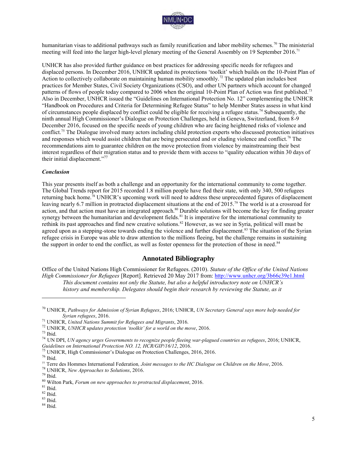

humanitarian visas to additional pathways such as family reunification and labor mobility schemes.<sup>70</sup> The ministerial meeting will feed into the larger high-level plenary meeting of the General Assembly on 19 September 2016.<sup>71</sup>

UNHCR has also provided further guidance on best practices for addressing specific needs for refugees and displaced persons. In December 2016, UNHCR updated its protections 'toolkit' which builds on the 10-Point Plan of Action to collectively collaborate on maintaining human mobility smoothly.<sup>72</sup> The updated plan includes best practices for Member States, Civil Society Organizations (CSO), and other UN partners which account for changed patterns of flows of people today compared to 2006 when the original 10-Point Plan of Action was first published.<sup>73</sup> Also in December, UNHCR issued the "Guidelines on International Protection No. 12" complementing the UNHCR "Handbook on Procedures and Criteria for Determining Refugee Status" to help Member States assess in what kind of circumstances people displaced by conflict could be eligible for receiving a refugee status.<sup>74</sup> Subsequently, the ninth annual High Commissioner's Dialogue on Protection Challenges, held in Geneva, Switzerland, from 8-9 December 2016, focused on the specific needs of young children who are facing heightened risks of violence and conflict.<sup>75</sup> The Dialogue involved many actors including child protection experts who discussed protection initiatives and responses which would assist children that are being persecuted and or eluding violence and conflict.<sup>76</sup> The recommendations aim to guarantee children on the move protection from violence by mainstreaming their best interest regardless of their migration status and to provide them with access to "quality education within 30 days of their initial displacement."<sup>77</sup>

#### *Conclusion*

This year presents itself as both a challenge and an opportunity for the international community to come together. The Global Trends report for 2015 recorded 1.8 million people have fled their state, with only 340, 500 refugees returning back home.<sup>78</sup> UNHCR's upcoming work will need to address these unprecedented figures of displacement leaving nearly 6.7 million in protracted displacement situations at the end of 2015.<sup>79</sup> The world is at a crossroad for action, and that action must have an integrated approach.<sup>80</sup> Durable solutions will become the key for finding greater synergy between the humanitarian and development fields.<sup>81</sup> It is imperative for the international community to rethink its past approaches and find new creative solutions.<sup>82</sup> However, as we see in Syria, political will must be agreed upon as a stepping-stone towards ending the violence and further displacement.<sup>83</sup> The situation of the Syrian refugee crisis in Europe was able to draw attention to the millions fleeing, but the challenge remains in sustaining the support in order to end the conflict, as well as foster openness for the protection of those in need.<sup>84</sup>

### **Annotated Bibliography**

Office of the United Nations High Commissioner for Refugees. (2010). *Statute of the Office of the United Nations High Commissioner for Refugees* [Report]. Retrieved 20 May 2017 from:<http://www.unhcr.org/3b66c39e1.html> *This document contains not only the Statute, but also a helpful introductory note on UNHCR's history and membership. Delegates should begin their research by reviewing the Statute, as it* 

 $\overline{a}$ 

<sup>75</sup> UNHCR, High Commissioner's Dialogue on Protection Challenges, 2016, 2016.

 $76$  Ibid.

<sup>78</sup> UNHCR, *New Approaches to Solutions*, 2016.

 $^{\,81}$  Ibid.

 $84$  Ibid.

<sup>70</sup> UNHCR, *Pathways for Admission of Syrian Refugees*, 2016; UNHCR, *UN Secretary General says more help needed for Syrian refugees*, 2016.

<sup>71</sup> UNHCR, *United Nations Summit for Refugees and Migrants*, 2016.

<sup>72</sup> UNHCR, *UNHCR updates protection 'toolkit' for a world on the move*, 2016.

<sup>73</sup> Ibid.

<sup>74</sup> UN DPI, *UN agency urges Governments to recognize people fleeing war-plagued countries as refugees*, 2016; UNHCR, *Guidelines on International Protection NO. 12, HCR/GIP/16/12*, 2016.

<sup>77</sup> Terre des Hommes International Federation*, Joint messages to the HC Dialogue on Children on the Move*, 2016.

<sup>79</sup> Ibid.

<sup>80</sup> Wilton Park, *Forum on new approaches to protracted displacement*, 2016.

<sup>82</sup> Ibid.

<sup>83</sup> Ibid.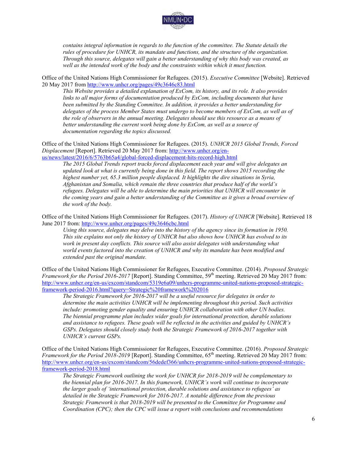

*contains integral information in regards to the function of the committee. The Statute details the rules of procedure for UNHCR, its mandate and functions, and the structure of the organization. Through this source, delegates will gain a better understanding of why this body was created, as well as the intended work of the body and the constraints within which it must function.* 

Office of the United Nations High Commissioner for Refugees. (2015). *Executive Committee* [Website]. Retrieved 20 May 2017 from<http://www.unhcr.org/pages/49c3646c83.html>

*This Website provides a detailed explanation of ExCom, its history, and its role. It also provides links to all major forms of documentation produced by ExCom, including documents that have been submitted by the Standing Committee. In addition, it provides a better understanding for delegates of the process Member States must undergo to become members of ExCom, as well as of the role of observers in the annual meeting. Delegates should use this resource as a means of better understanding the current work being done by ExCom, as well as a source of documentation regarding the topics discussed.* 

Office of the United Nations High Commissioner for Refugees. (2015). *UNHCR 2015 Global Trends, Forced Displacement* [Report]. Retrieved 20 May 2017 from: [http://www.unhcr.org/en](http://www.unhcr.org/en-us/news/latest/2016/6/5763b65a4/global-forced-displacement-hits-record-high.html)[us/news/latest/2016/6/5763b65a4/global-forced-displacement-hits-record-high.html](http://www.unhcr.org/en-us/news/latest/2016/6/5763b65a4/global-forced-displacement-hits-record-high.html) 

*The 2015 Global Trends report tracks forced displacement each year and will give delegates an updated look at what is currently being done in this field. The report shows 2015 recording the highest number yet, 65.3 million people displaced. It highlights the dire situations in Syria, Afghanistan and Somalia, which remain the three countries that produce half of the world's refugees. Delegates will be able to determine the main priorities that UNHCR will encounter in the coming years and gain a better understanding of the Committee as it gives a broad overview of the work of the body.* 

Office of the United Nations High Commissioner for Refugees. (2017). *History of UNHCR* [Website]. Retrieved 18 June 2017 from:<http://www.unhcr.org/pages/49c3646cbc.html>

*Using this source, delegates may delve into the history of the agency since its formation in 1950. This site explains not only the history of UNHCR but also shows how UNHCR has evolved to its*  work in present day conflicts. This source will also assist delegates with understanding what *world events factored into the creation of UNHCR and why its mandate has been modified and extended past the original mandate.* 

Office of the United Nations High Commissioner for Refugees, Executive Committee. (2014). *Proposed Strategic Framework for the Period 2016-2017* [Report]. Standing Committee, 59<sup>th</sup> meeting. Retrieved 20 May 2017 from: [http://www.unhcr.org/en-us/excom/standcom/5319e6a09/unhcrs-programme-united-nations-proposed-strategic](http://www.unhcr.org/en-us/excom/standcom/5319e6a09/unhcrs-programme-united-nations-proposed-strategic-framework-period-2016.html?query=Strategic%20framework%202016)[framework-period-2016.html?query=Strategic%20framework%202016](http://www.unhcr.org/en-us/excom/standcom/5319e6a09/unhcrs-programme-united-nations-proposed-strategic-framework-period-2016.html?query=Strategic%20framework%202016) 

*The Strategic Framework for 2016-2017 will be a useful resource for delegates in order to determine the main activities UNHCR will be implementing throughout this period. Such activities include: promoting gender equality and ensuring UNHCR collaboration with other UN bodies. The biennial programme plan includes wider goals for international protection, durable solutions and assistance to refugees. These goals will be reflected in the activities and guided by UNHCR's GSPs. Delegates should closely study both the Strategic Framework of 2016-2017 together with UNHCR's current GSPs.* 

Office of the United Nations High Commissioner for Refugees, Executive Committee. (2016). *Proposed Strategic Framework for the Period 2018-2019* [Report]. Standing Committee, 65<sup>th</sup> meeting. Retrieved 20 May 2017 from: [http://www.unhcr.org/en-us/excom/standcom/56dedef366/unhcrs-programme-united-nations-proposed-strategic](http://www.unhcr.org/en-us/excom/standcom/56dedef366/unhcrs-programme-united-nations-proposed-strategic-framework-period-2018.html)[framework-period-2018.html](http://www.unhcr.org/en-us/excom/standcom/56dedef366/unhcrs-programme-united-nations-proposed-strategic-framework-period-2018.html) 

*The Strategic Framework outlining the work for UNHCR for 2018-2019 will be complementary to the biennial plan for 2016-2017. In this framework, UNHCR's work will continue to incorporate the larger goals of 'international protection, durable solutions and assistance to refugees' as detailed in the Strategic Framework for 2016-2017. A notable difference from the previous Strategic Framework is that 2018-2019 will be presented to the Committee for Programme and Coordination (CPC); then the CPC will issue a report with conclusions and recommendations*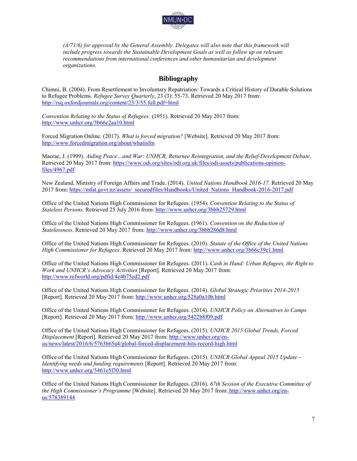

*(A/71/6) for approval by the General Assembly. Delegates will also note that this framework will*  include progress towards the Sustainable Development Goals as well as follow up on relevant *recommendations from international conferences and other humanitarian and development organizations.* 

## **Bibliography**

Chimni, B. (2004). From Resettlement to Involuntary Repatriation: Towards a Critical History of Durable Solutions to Refugee Problems. *Refugee Survey Quarterly*, 23 (3): 55-73. Retrieved 20 May 2017 from: <http://rsq.oxfordjournals.org/content/23/3/55.full.pdf+html>

*Convention Relating to the Status of Refugees.* (1951). Retrieved 20 May 2017 from: <http://www.unhcr.org/3b66c2aa10.html>

Forced Migration Online. (2017). *What is forced migration?* [Website]. Retrieved 20 May 2017 from: <http://www.forcedmigration.org/about/whatisfm>

Macrae, J. (1999). *Aiding Peace…and War: UNHCR, Returnee Reintegration, and the Relief-Development Debate*. Retrieved 20 May 2017 from: [https://www.odi.org/sites/odi.org.uk/files/odi-assets/publications-opinion](https://www.odi.org/sites/odi.org.uk/files/odi-assets/publications-opinion-files/4967.pdf)[files/4967.pdf](https://www.odi.org/sites/odi.org.uk/files/odi-assets/publications-opinion-files/4967.pdf) 

New Zealand, Ministry of Foreign Affairs and Trade. (2014). *United Nations Handbook 2016-17.* Retrieved 20 May 2017 from: [https://mfat.govt.nz/assets/\\_securedfiles/Handbooks/United\\_Nations\\_Handbook-2016-2017.pdf](https://mfat.govt.nz/assets/_securedfiles/Handbooks/United_Nations_Handbook-2016-2017.pdf) 

Office of the United Nations High Commissioner for Refugees. (1954). *Convention Relating to the Status of Stateless Persons*. Retrieved 25 July 2016 from:<http://www.unhcr.org/3bbb25729.html>

Office of the United Nations High Commissioner for Refugees. (1961). *Convention on the Reduction of Statelessness*. Retrieved 20 May 2017 from:<http://www.unhcr.org/3bbb286d8.html>

Office of the United Nations High Commissioner for Refugees. (2010). *Statute of the Office of the United Nations High Commissioner for Refugees*. Retrieved 20 May 2017 from:<http://www.unhcr.org/3b66c39e1.html>

Office of the United Nations High Commissioner for Refugees. (2011). *Cash in Hand: Urban Refugees, the Right to Work and UNHCR's Advocacy Activities* [Report]. Retrieved 20 May 2017 from: <http://www.refworld.org/pdfid/4e4b75ed2.pdf>

Office of the United Nations High Commissioner for Refugees. (2014). *Global Strategic Priorities 2014-2015* [Report]. Retrieved 20 May 2017 from:<http://www.unhcr.org/528a0a10b.html>

Office of the United Nations High Commissioner for Refugees. (2014). *UNHCR Policy on Alternatives to Camps*  [Report]. Retrieved 20 May 2017 from: <http://www.unhcr.org/5422b8f09.pdf>

Office of the United Nations High Commissioner for Refugees. (2015). *UNHCR 2015 Global Trends, Forced Displacement* [Report]. Retrieved 20 May 2017 from: [http://www.unhcr.org/en](http://www.unhcr.org/en-us/news/latest/2016/6/5763b65a4/global-forced-displacement-hits-record-high.html)[us/news/latest/2016/6/5763b65a4/global-forced-displacement-hits-record-high.html](http://www.unhcr.org/en-us/news/latest/2016/6/5763b65a4/global-forced-displacement-hits-record-high.html) 

Office of the United Nations High Commissioner for Refugees. (2015). *UNHCR Global Appeal 2015 Update – Identifying needs and funding requirements* [Report]. Retrieved 20 May 2017 from: <http://www.unhcr.org/5461e5f30.html>

Office of the United Nations High Commissioner for Refugees. (2016). *67th Session of the Executive Committee of the High Commissioner's Programme* [Website]. Retrieved 20 May 2017 from: [http://www.unhcr.org/en](http://www.unhcr.org/en-us/578389144)[us/578389144](http://www.unhcr.org/en-us/578389144)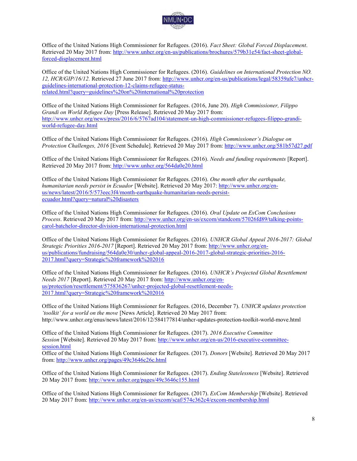

Office of the United Nations High Commissioner for Refugees. (2016). *Fact Sheet: Global Forced Displacement*. Retrieved 20 May 2017 from: [http://www.unhcr.org/en-us/publications/brochures/579b31e54/fact-sheet-global](http://www.unhcr.org/en-us/publications/brochures/579b31e54/fact-sheet-global-forced-displacement.html)[forced-displacement.html](http://www.unhcr.org/en-us/publications/brochures/579b31e54/fact-sheet-global-forced-displacement.html) 

Office of the United Nations High Commissioner for Refugees. (2016). *Guidelines on International Protection NO. 12, HCR/GIP/16/12.* Retrieved 27 June 2017 from: [http://www.unhcr.org/en-us/publications/legal/58359afe7/unhcr](http://www.unhcr.org/en-us/publications/legal/58359afe7/unhcr-guidelines-international-protection-12-claims-refugee-status-related.html?query=guidelines%20on%20international%20protection)[guidelines-international-protection-12-claims-refugee-status](http://www.unhcr.org/en-us/publications/legal/58359afe7/unhcr-guidelines-international-protection-12-claims-refugee-status-related.html?query=guidelines%20on%20international%20protection)[related.html?query=guidelines%20on%20international%20protection](http://www.unhcr.org/en-us/publications/legal/58359afe7/unhcr-guidelines-international-protection-12-claims-refugee-status-related.html?query=guidelines%20on%20international%20protection) 

Office of the United Nations High Commissioner for Refugees. (2016, June 20). *High Commissioner, Filippo Grandi on World Refugee Day* [Press Release]. Retrieved 20 May 2017 from: [http://www.unhcr.org/news/press/2016/6/5767ad104/statement-un-high-commissioner-refugees-filippo-grandi](http://www.unhcr.org/news/press/2016/6/5767ad104/statement-un-high-commissioner-refugees-filippo-grandi-world-refugee-day.html)[world-refugee-day.html](http://www.unhcr.org/news/press/2016/6/5767ad104/statement-un-high-commissioner-refugees-filippo-grandi-world-refugee-day.html) 

Office of the United Nations High Commissioner for Refugees. (2016). *High Commissioner's Dialogue on Protection Challenges, 2016* [Event Schedule]. Retrieved 20 May 2017 from:<http://www.unhcr.org/581b57d27.pdf>

Office of the United Nations High Commissioner for Refugees. (2016). *Needs and funding requirements* [Report]. Retrieved 20 May 2017 from: <http://www.unhcr.org/564da0e20.html>

Office of the United Nations High Commissioner for Refugees. (2016). *One month after the earthquake, humanitarian needs persist in Ecuador* [Website]. Retrieved 20 May 2017: [http://www.unhcr.org/en](http://www.unhcr.org/en-us/news/latest/2016/5/573eec3f4/month-earthquake-humanitarian-needs-persist-ecuador.html?query=natural%20disasters)[us/news/latest/2016/5/573eec3f4/month-earthquake-humanitarian-needs-persist](http://www.unhcr.org/en-us/news/latest/2016/5/573eec3f4/month-earthquake-humanitarian-needs-persist-ecuador.html?query=natural%20disasters)[ecuador.html?query=natural%20disasters](http://www.unhcr.org/en-us/news/latest/2016/5/573eec3f4/month-earthquake-humanitarian-needs-persist-ecuador.html?query=natural%20disasters) 

Office of the United Nations High Commissioner for Refugees. (2016). *Oral Update on ExCom Conclusions Process*. Retrieved 20 May 2017 from: [http://www.unhcr.org/en-us/excom/standcom/57026fd89/talking-points](http://www.unhcr.org/en-us/excom/standcom/57026fd89/talking-points-carol-batchelor-director-division-international-protection.html)[carol-batchelor-director-division-international-protection.html](http://www.unhcr.org/en-us/excom/standcom/57026fd89/talking-points-carol-batchelor-director-division-international-protection.html) 

Office of the United Nations High Commissioner for Refugees. (2016). *UNHCR Global Appeal 2016-2017: Global Strategic Priorities 2016-2017* [Report]. Retrieved 20 May 2017 from: [http://www.unhcr.org/en](http://www.unhcr.org/en-us/publications/fundraising/564da0e30/unhcr-global-appeal-2016-2017-global-strategic-priorities-2016-2017.html?query=Strategic%20framework%202016)[us/publications/fundraising/564da0e30/unhcr-global-appeal-2016-2017-global-strategic-priorities-2016-](http://www.unhcr.org/en-us/publications/fundraising/564da0e30/unhcr-global-appeal-2016-2017-global-strategic-priorities-2016-2017.html?query=Strategic%20framework%202016) [2017.html?query=Strategic%20framework%202016](http://www.unhcr.org/en-us/publications/fundraising/564da0e30/unhcr-global-appeal-2016-2017-global-strategic-priorities-2016-2017.html?query=Strategic%20framework%202016) 

Office of the United Nations High Commissioner for Refugees. (2016). *UNHCR's Projected Global Resettlement Needs 2017* [Report]. Retrieved 20 May 2017 from: [http://www.unhcr.org/en](http://www.unhcr.org/en-us/protection/resettlement/575836267/unhcr-projected-global-resettlement-needs-2017.html?query=Strategic%20framework%202016)[us/protection/resettlement/575836267/unhcr-projected-global-resettlement-needs-](http://www.unhcr.org/en-us/protection/resettlement/575836267/unhcr-projected-global-resettlement-needs-2017.html?query=Strategic%20framework%202016)[2017.html?query=Strategic%20framework%202016](http://www.unhcr.org/en-us/protection/resettlement/575836267/unhcr-projected-global-resettlement-needs-2017.html?query=Strategic%20framework%202016) 

Office of the United Nations High Commissioner for Refugees. (2016, December 7). *UNHCR updates protection 'toolkit' for a world on the move* [News Article]. Retrieved 20 May 2017 from: http://www.unhcr.org/enus/news/latest/2016/12/584177814/unhcr-updates-protection-toolkit-world-move.html

Office of the United Nations High Commissioner for Refugees. (2017). *2016 Executive Committee Session* [Website]. Retrieved 20 May 2017 from: [http://www.unhcr.org/en-us/2016-executive-committee](http://www.unhcr.org/en-us/2016-executive-committee-session.html)[session.html](http://www.unhcr.org/en-us/2016-executive-committee-session.html)

Office of the United Nations High Commissioner for Refugees. (2017). *Donors* [Website]. Retrieved 20 May 2017 from[: http://www.unhcr.org/pages/49c3646c26c.html](http://www.unhcr.org/pages/49c3646c26c.html) 

Office of the United Nations High Commissioner for Refugees. (2017). *Ending Statelessness* [Website]. Retrieved 20 May 2017 from:<http://www.unhcr.org/pages/49c3646c155.html>

Office of the United Nations High Commissioner for Refugees. (2017). *ExCom Membership* [Website]. Retrieved 20 May 2017 from:<http://www.unhcr.org/en-us/excom/scaf/574c362c4/excom-membership.html>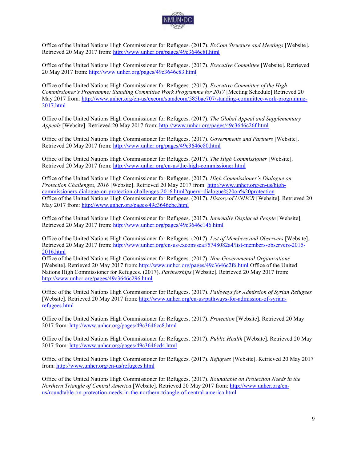

Office of the United Nations High Commissioner for Refugees. (2017). *ExCom Structure and Meetings* [Website]. Retrieved 20 May 2017 from:<http://www.unhcr.org/pages/49c3646c8f.html>

Office of the United Nations High Commissioner for Refugees. (2017). *Executive Committee* [Website]. Retrieved 20 May 2017 from:<http://www.unhcr.org/pages/49c3646c83.html>

Office of the United Nations High Commissioner for Refugees. (2017). *Executive Committee of the High Commissioner's Programme: Standing Committee Work Programme for 2017* [Meeting Schedule] Retrieved 20 May 2017 from: [http://www.unhcr.org/en-us/excom/standcom/585bae707/standing-committee-work-programme-](http://www.unhcr.org/en-us/excom/standcom/585bae707/standing-committee-work-programme-2017.html)[2017.html](http://www.unhcr.org/en-us/excom/standcom/585bae707/standing-committee-work-programme-2017.html)

Office of the United Nations High Commissioner for Refugees. (2017). *The Global Appeal and Supplementary Appeals* [Website]. Retrieved 20 May 2017 from:<http://www.unhcr.org/pages/49c3646c26f.html>

Office of the United Nations High Commissioner for Refugees. (2017). *Governments and Partners* [Website]. Retrieved 20 May 2017 from:<http://www.unhcr.org/pages/49c3646c80.html>

Office of the United Nations High Commissioner for Refugees. (2017). *The High Commissioner* [Website]. Retrieved 20 May 2017 from:<http://www.unhcr.org/en-us/the-high-commissioner.html>

Office of the United Nations High Commissioner for Refugees. (2017). *High Commissioner's Dialogue on Protection Challenges, 2016* [Website]. Retrieved 20 May 2017 from[: http://www.unhcr.org/en-us/high](http://www.unhcr.org/en-us/high-commissioners-dialogue-on-protection-challenges-2016.html?query=dialogue%20on%20protection)[commissioners-dialogue-on-protection-challenges-2016.html?query=dialogue%20on%20protection](http://www.unhcr.org/en-us/high-commissioners-dialogue-on-protection-challenges-2016.html?query=dialogue%20on%20protection)  Office of the United Nations High Commissioner for Refugees. (2017). *History of UNHCR* [Website]. Retrieved 20 May 2017 from:<http://www.unhcr.org/pages/49c3646cbc.html>

Office of the United Nations High Commissioner for Refugees. (2017). *Internally Displaced People* [Website]. Retrieved 20 May 2017 from:<http://www.unhcr.org/pages/49c3646c146.html>

Office of the United Nations High Commissioner for Refugees. (2017). *List of Members and Observers* [Website]. Retrieved 20 May 2017 from: [http://www.unhcr.org/en-us/excom/scaf/5748082a4/list-members-observers-2015-](http://www.unhcr.org/en-us/excom/scaf/5748082a4/list-members-observers-2015-2016.html) [2016.html](http://www.unhcr.org/en-us/excom/scaf/5748082a4/list-members-observers-2015-2016.html) 

Office of the United Nations High Commissioner for Refugees. (2017). *Non-Governmental Organizations* [Website]. Retrieved 20 May 2017 from:<http://www.unhcr.org/pages/49c3646c2f6.html>Office of the United Nations High Commissioner for Refugees. (2017). *Partnerships* [Website]. Retrieved 20 May 2017 from: <http://www.unhcr.org/pages/49c3646c296.html>

Office of the United Nations High Commissioner for Refugees. (2017). *Pathways for Admission of Syrian Refugees* [Website]. Retrieved 20 May 2017 from: [http://www.unhcr.org/en-us/pathways-for-admission-of-syrian](http://www.unhcr.org/en-us/pathways-for-admission-of-syrian-refugees.html)[refugees.html](http://www.unhcr.org/en-us/pathways-for-admission-of-syrian-refugees.html) 

Office of the United Nations High Commissioner for Refugees. (2017). *Protection* [Website]. Retrieved 20 May 2017 from:<http://www.unhcr.org/pages/49c3646cc8.html>

Office of the United Nations High Commissioner for Refugees. (2017). *Public Health* [Website]. Retrieved 20 May 2017 from:<http://www.unhcr.org/pages/49c3646cd4.html>

Office of the United Nations High Commissioner for Refugees. (2017). *Refugees* [Website]. Retrieved 20 May 2017 from[: http://www.unhcr.org/en-us/refugees.html](http://www.unhcr.org/en-us/refugees.html) 

Office of the United Nations High Commissioner for Refugees. (2017). *Roundtable on Protection Needs in the Northern Triangle of Central America* [Website]. Retrieved 20 May 2017 from: [http://www.unhcr.org/en](http://www.unhcr.org/en-us/roundtable-on-protection-needs-in-the-northern-triangle-of-central-america.html)[us/roundtable-on-protection-needs-in-the-northern-triangle-of-central-america.html](http://www.unhcr.org/en-us/roundtable-on-protection-needs-in-the-northern-triangle-of-central-america.html)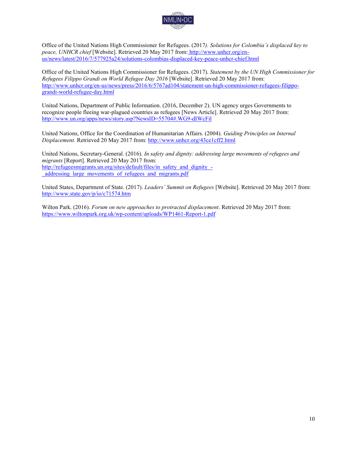

Office of the United Nations High Commissioner for Refugees. (2017*). Solutions for Colombia's displaced key to peace, UNHCR chief* [Website]. Retrieved 20 May 2017 from: [http://www.unhcr.org/en](http://www.unhcr.org/en-us/news/latest/2016/7/577925a24/solutions-colombias-displaced-key-peace-unhcr-chief.html)[us/news/latest/2016/7/577925a24/solutions-colombias-displaced-key-peace-unhcr-chief.html](http://www.unhcr.org/en-us/news/latest/2016/7/577925a24/solutions-colombias-displaced-key-peace-unhcr-chief.html)

Office of the United Nations High Commissioner for Refugees. (2017). *Statement by the UN High Commissioner for Refugees Filippo Grandi on World Refugee Day 2016* [Website]. Retrieved 20 May 2017 from: [http://www.unhcr.org/en-us/news/press/2016/6/5767ad104/statement-un-high-commissioner-refugees-filippo](http://www.unhcr.org/en-us/news/press/2016/6/5767ad104/statement-un-high-commissioner-refugees-filippo-grandi-world-refugee-day.html)[grandi-world-refugee-day.html](http://www.unhcr.org/en-us/news/press/2016/6/5767ad104/statement-un-high-commissioner-refugees-filippo-grandi-world-refugee-day.html)

United Nations, Department of Public Information. (2016, December 2). UN agency urges Governments to recognize people fleeing war-plagued countries as refugees [News Article]. Retrieved 20 May 2017 from: <http://www.un.org/apps/news/story.asp?NewsID=55704#.WG9-dIWcFil>

United Nations, Office for the Coordination of Humanitarian Affairs. (2004). *Guiding Principles on Internal Displacement.* Retrieved 20 May 2017 from:<http://www.unhcr.org/43ce1cff2.html>

United Nations, Secretary-General. (2016). *In safety and dignity: addressing large movements of refugees and migrants* [Report]. Retrieved 20 May 2017 from: [http://refugeesmigrants.un.org/sites/default/files/in\\_safety\\_and\\_dignity\\_](http://refugeesmigrants.un.org/sites/default/files/in_safety_and_dignity_-_addressing_large_movements_of_refugees_and_migrants.pdf) addressing large movements of refugees and migrants.pdf

United States, Department of State. (2017). *Leaders' Summit on Refugees* [Website]. Retrieved 20 May 2017 from: http://www.state.gov/p/io/c71574.htm

Wilton Park. (2016). *Forum on new approaches to protracted displacement*. Retrieved 20 May 2017 from: <https://www.wiltonpark.org.uk/wp-content/uploads/WP1461-Report-1.pdf>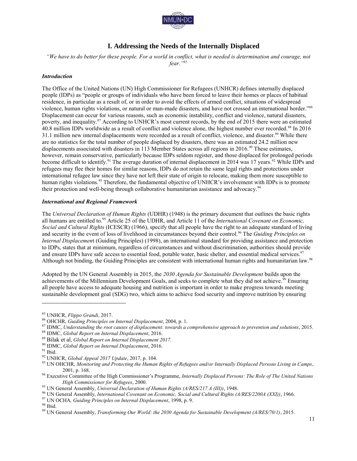

## **I. Addressing the Needs of the Internally Displaced**

*"We have to do better for these people. For a world in conflict, what is needed is determination and courage, not fear."<sup>85</sup>*

#### *Introduction*

The Office of the United Nations (UN) High Commissioner for Refugees (UNHCR) defines internally displaced people (IDPs) as "people or groups of individuals who have been forced to leave their homes or places of habitual residence, in particular as a result of, or in order to avoid the effects of armed conflict, situations of widespread violence, human rights violations, or natural or man-made disasters, and have not crossed an international border."<sup>86</sup> Displacement can occur for various reasons, such as economic instability, conflict and violence, natural disasters, poverty, and inequality.<sup>87</sup> According to UNHCR's most current records, by the end of 2015 there were an estimated 40.8 million IDPs worldwide as a result of conflict and violence alone, the highest number ever recorded.<sup>88</sup> In 2016 31.1 million new internal displacements were recorded as a result of conflict, violence, and disaster.<sup>89</sup> While there are no statistics for the total number of people displaced by disasters, there was an estimated 24.2 million new displacements associated with disasters in 113 Member States across all regions in 2016.<sup>90</sup> These estimates, however, remain conservative, particularly because IDPs seldom register, and those displaced for prolonged periods become difficult to identify.<sup>91</sup> The average duration of internal displacement in 2014 was 17 years.<sup>92</sup> While IDPs and refugees may flee their homes for similar reasons, IDPs do not retain the same legal rights and protections under international refugee law since they have not left their state of origin to relocate, making them more susceptible to human rights violations.<sup>93</sup> Therefore, the fundamental objective of UNHCR's involvement with IDPs is to promote their protection and well-being through collaborative humanitarian assistance and advocacy.<sup>94</sup>

#### *International and Regional Framework*

The *Universal Declaration of Human Rights* (UDHR) (1948) is the primary document that outlines the basic rights all humans are entitled to. <sup>95</sup> Article 25 of the UDHR, and Article 11 of the *International Covenant on Economic, Social and Cultural Rights* (ICESCR) (1966), specify that all people have the right to an adequate standard of living and security in the event of loss of livelihood in circumstances beyond their control.<sup>96</sup> The *Guiding Principles on Internal Displacemen*t (Guiding Principles) (1998), an international standard for providing assistance and protection to IDPs, states that at minimum, regardless of circumstances and without discrimination, authorities should provide and ensure IDPs have safe access to essential food, potable water, basic shelter, and essential medical services.<sup>97</sup> Although not binding, the Guiding Principles are consistent with international human rights and humanitarian law.<sup>98</sup>

Adopted by the UN General Assembly in 2015, the *2030 Agenda for Sustainable Development* builds upon the achievements of the Millennium Development Goals, and seeks to complete what they did not achieve.<sup>59</sup> Ensuring all people have access to adequate housing and nutrition is important in order to make progress towards meeting sustainable development goal (SDG) two, which aims to achieve food security and improve nutrition by ensuring

<sup>85</sup> UNHCR, *Flippo Grandi*, 2017.

<sup>86</sup> OHCHR, *Guiding Principles on Internal Displacement*, 2004, p. 1.

<sup>87</sup> IDMC, *Understanding the root causes of displacement: towards a comprehensive approach to prevention and solutions*, 2015.

<sup>88</sup> IDMC, *Global Report on Internal Displacement*, 2016.

<sup>89</sup> Bilak et al, *Global Report on Internal Displacement 2017.*

<sup>90</sup> IDMC, *Global Report on Internal Displacement*, 2016.

 $\ensuremath{^{91}}$  Ibid.

<sup>92</sup> UNHCR, *Global Appeal 2017 Update*, 2017, p. 104.

<sup>93</sup> UN OHCHR, *Monitoring and Protecting the Human Rights of Refugees and/or Internally Displaced Persons Living in Camps*, 2001, p. 168.

<sup>94</sup> Executive Committee of the High Commissioner's Programme, *Internally Displaced Persons: The Role of The United Nations High Commissioner for Refugees*, 2000.

<sup>95</sup> UN General Assembly, *Universal Declaration of Human Rights (A/RES/217 A (III))*, 1948.

<sup>96</sup> UN General Assembly, *International Covenant on Economic, Social and Cultural Rights (A/RES/2200A (XXI))*, 1966.

<sup>97</sup> UN OCHA*, Guiding Principles on Internal Displacement*, 1998, p. 9.

<sup>98</sup> Ibid.

<sup>99</sup> UN General Assembly, *Transforming Our World: the 2030 Agenda for Sustainable Development (A/RES/70/1)*, 2015.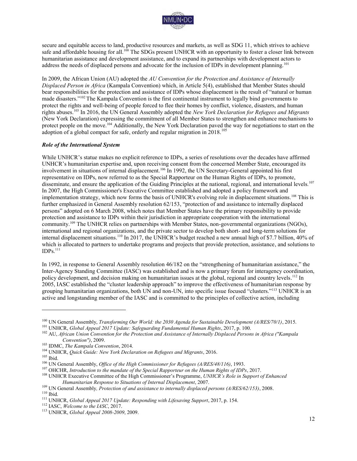

secure and equitable access to land, productive resources and markets, as well as SDG 11, which strives to achieve safe and affordable housing for all.<sup>100</sup> The SDGs present UNHCR with an opportunity to foster a closer link between humanitarian assistance and development assistance, and to expand its partnerships with development actors to address the needs of displaced persons and advocate for the inclusion of IDPs in development planning.<sup>101</sup>

In 2009, the African Union (AU) adopted the *AU Convention for the Protection and Assistance of Internally Displaced Person in Africa* (Kampala Convention) which, in Article 5(4), established that Member States should bear responsibilities for the protection and assistance of IDPs whose displacement is the result of "natural or human made disasters."<sup>102</sup> The Kampala Convention is the first continental instrument to legally bind governments to protect the rights and well-being of people forced to flee their homes by conflict, violence, disasters, and human rights abuses.<sup>103</sup> In 2016, the UN General Assembly adopted the *New York Declaration for Refugees and Migrants* (New York Declaration) expressing the commitment of all Member States to strengthen and enhance mechanisms to protect people on the move.<sup>104</sup> Additionally, the New York Declaration paved the way for negotiations to start on the adoption of a global compact for safe, orderly and regular migration in  $2018$ .<sup>105</sup>

#### *Role of the International System*

While UNHCR's statue makes no explicit reference to IDPs, a series of resolutions over the decades have affirmed UNHCR's humanitarian expertise and, upon receiving consent from the concerned Member State, encouraged its involvement in situations of internal displacement.<sup>106</sup> In 1992, the UN Secretary-General appointed his first representative on IDPs, now referred to as the Special Rapporteur on the Human Rights of IDPs, to promote, disseminate, and ensure the application of the Guiding Principles at the national, regional, and international levels*.* 107 In 2007, the High Commissioner's Executive Committee established and adopted a policy framework and implementation strategy, which now forms the basis of UNHCR's evolving role in displacement situations.<sup>108</sup> This is further emphasized in General Assembly resolution 62/153, "protection of and assistance to internally displaced persons" adopted on 6 March 2008, which notes that Member States have the primary responsibility to provide protection and assistance to IDPs within their jurisdiction in appropriate cooperation with the international community.<sup>109</sup> The UNHCR relies on partnerships with Member States, non-governmental organizations (NGOs), international and regional organizations, and the private sector to develop both short- and long-term solutions for internal displacement situations.<sup>110</sup> In 2017, the UNHCR's budget reached a new annual high of \$7.7 billion, 40% of which is allocated to partners to undertake programs and projects that provide protection, assistance, and solutions to  $IDPs.<sup>111</sup>$ 

In 1992, in response to General Assembly resolution 46/182 on the "strengthening of humanitarian assistance," the Inter-Agency Standing Committee (IASC) was established and is now a primary forum for interagency coordination, policy development, and decision making on humanitarian issues at the global, regional and country levels.<sup>112</sup> In 2005, IASC established the "cluster leadership approach" to improve the effectiveness of humanitarian response by grouping humanitarian organizations, both UN and non-UN, into specific issue focused "clusters."<sup>113</sup> UNHCR is an active and longstanding member of the IASC and is committed to the principles of collective action, including

<sup>100</sup> UN General Assembly, *Transforming Our World: the 2030 Agenda for Sustainable Development (A/RES/70/1)*, 2015.

<sup>101</sup> UNHCR, *Global Appeal 2017 Update: Safeguarding Fundamental Human Rights*, 2017, p. 100.

<sup>102</sup> AU, *African Union Convention for the Protection and Assistance of Internally Displaced Persons in Africa ("Kampala Convention")*, 2009.

<sup>103</sup> IDMC, *The Kampala Convention*, 2014.

<sup>104</sup> UNHCR, *Quick Guide: New York Declaration on Refugees and Migrants*, 2016.

 $^{105}$  Ibid.

<sup>106</sup> UN General Assembly, *Office of the High Commissioner for Refugees (A/RES/48/116)*, 1993.

<sup>107</sup> OHCHR, *Introduction to the mandate of the Special Rapporteur on the Human Rights of IDPs*, 2017.

<sup>108</sup> UNHCR Executive Committee of the High Commissioner's Programme, *UNHCR's Role in Support of Enhanced Humanitarian Response to Situations of Internal Displacement*, 2007.

<sup>109</sup> UN General Assembly*, Protection of and assistance to internally displaced persons (A/RES/62/153)*, 2008.  $110$  Ibid.

<sup>111</sup> UNHCR, *Global Appeal 2017 Update: Responding with Lifesaving Support*, 2017, p. 154.

<sup>112</sup> IASC, *Welcome to the IASC*, 2017.

<sup>113</sup> UNHCR, *Global Appeal 2008-2009*, 2009.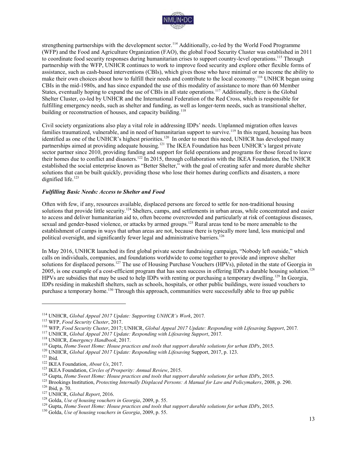

strengthening partnerships with the development sector.<sup>114</sup> Additionally, co-led by the World Food Programme (WFP) and the Food and Agriculture Organization (FAO), the global Food Security Cluster was established in 2011 to coordinate food security responses during humanitarian crises to support country-level operations.<sup>115</sup> Through partnership with the WFP, UNHCR continues to work to improve food security and explore other flexible forms of assistance, such as cash-based interventions (CBIs), which gives those who have minimal or no income the ability to make their own choices about how to fulfill their needs and contribute to the local economy.<sup>116</sup> UNHCR began using CBIs in the mid-1980s, and has since expanded the use of this modality of assistance to more than 60 Member States, eventually hoping to expand the use of CBIs in all state operations.<sup>117</sup> Additionally, there is the Global Shelter Cluster, co-led by UNHCR and the International Federation of the Red Cross, which is responsible for fulfilling emergency needs, such as shelter and funding, as well as longer-term needs, such as transitional shelter, building or reconstruction of houses, and capacity building.<sup>118</sup>

Civil society organizations also play a vital role in addressing IDPs' needs. Unplanned migration often leaves families traumatized, vulnerable, and in need of humanitarian support to survive.<sup>119</sup> In this regard, housing has been identified as one of the UNHCR's highest priorities.<sup>120</sup> In order to meet this need, UNHCR has developed many partnerships aimed at providing adequate housing.<sup>121</sup> The IKEA Foundation has been UNHCR's largest private sector partner since 2010, providing funding and support for field operations and programs for those forced to leave their homes due to conflict and disasters.<sup>122</sup> In 2015, through collaboration with the IKEA Foundation, the UNHCR established the social enterprise known as "Better Shelter," with the goal of creating safer and more durable shelter solutions that can be built quickly, providing those who lose their homes during conflicts and disasters, a more dignified life.<sup>123</sup>

#### *Fulfilling Basic Needs: Access to Shelter and Food*

Often with few, if any, resources available, displaced persons are forced to settle for non-traditional housing solutions that provide little security.<sup>124</sup> Shelters, camps, and settlements in urban areas, while concentrated and easier to access and deliver humanitarian aid to, often become overcrowded and particularly at risk of contagious diseases, sexual and gender-based violence, or attacks by armed groups.<sup>125</sup> Rural areas tend to be more amenable to the establishment of camps in ways that urban areas are not, because there is typically more land, less municipal and political oversight, and significantly fewer legal and administrative barriers.<sup>126</sup>

In May 2016, UNHCR launched its first global private sector fundraising campaign, "Nobody left outside," which calls on individuals, companies, and foundations worldwide to come together to provide and improve shelter solutions for displaced persons.<sup>127</sup> The use of Housing Purchase Vouchers (HPVs), piloted in the state of Georgia in 2005, is one example of a cost-efficient program that has seen success in offering IDPs a durable housing solution.<sup>128</sup> HPVs are subsidies that may be used to help IDPs with renting or purchasing a temporary dwelling.<sup>129</sup> In Georgia, IDPs residing in makeshift shelters, such as schools, hospitals, or other public buildings, were issued vouchers to purchase a temporary home.<sup>130</sup> Through this approach, communities were successfully able to free up public

<sup>114</sup> UNHCR, *Global Appeal 2017 Update: Supporting UNHCR's Work*, 2017*.* 

<sup>115</sup> WFP, *Food Security Cluster*, 2017.

<sup>116</sup> WFP, *Food Security Cluster*, 2017; UNHCR, *Global Appeal 2017 Update: Responding with Lifesaving Support*, 2017*.* 

<sup>117</sup> UNHCR, *Global Appeal 2017 Update: Responding with Lifesaving Support*, 2017*.* 

<sup>118</sup> UNHCR, *Emergency Handbook*, 2017.

<sup>119</sup> Gupta, *Home Sweet Home: House practices and tools that support durable solutions for urban IDPs*, 2015.

<sup>120</sup> UNHCR, *Global Appeal 2017 Update: Responding with Lifesaving* Support, 2017, p. 123.

 $121$  Ibid.

<sup>122</sup> IKEA Foundation, *About Us*, 2017.

<sup>123</sup> IKEA Foundation, *Circles of Prosperity: Annual Review*, 2015.

<sup>124</sup> Gupta, *Home Sweet Home: House practices and tools that support durable solutions for urban IDPs*, 2015.

<sup>125</sup> Brookings Institution, *Protecting Internally Displaced Persons: A Manual for Law and Policymakers*, 2008, p. 290.

<sup>126</sup> Ibid, p. 70.

<sup>127</sup> UNHCR, *Global Report*, 2016.

<sup>128</sup> Golda, *Use of housing vouchers in Georgia*, 2009, p. 55.

<sup>129</sup> Gupta, *Home Sweet Home: House practices and tools that support durable solutions for urban IDPs*, 2015.

<sup>130</sup> Golda, *Use of housing vouchers in Georgia*, 2009, p. 55.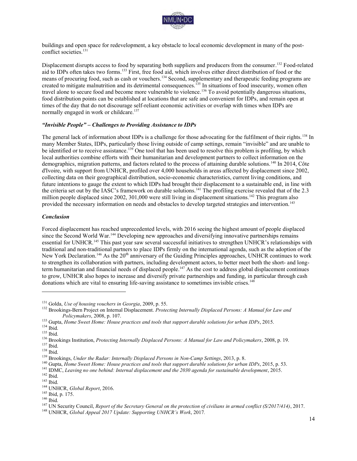

buildings and open space for redevelopment, a key obstacle to local economic development in many of the postconflict societies.<sup>131</sup>

Displacement disrupts access to food by separating both suppliers and producers from the consumer.<sup>132</sup> Food-related aid to IDPs often takes two forms.<sup>133</sup> First, free food aid, which involves either direct distribution of food or the means of procuring food, such as cash or vouchers.<sup>134</sup> Second, supplementary and therapeutic feeding programs are created to mitigate malnutrition and its detrimental consequences.<sup>135</sup> In situations of food insecurity, women often travel alone to secure food and become more vulnerable to violence.<sup>136</sup> To avoid potentially dangerous situations, food distribution points can be established at locations that are safe and convenient for IDPs, and remain open at times of the day that do not discourage self-reliant economic activities or overlap with times when IDPs are normally engaged in work or childcare.<sup>137</sup>

#### *"Invisible People" – Challenges to Providing Assistance to IDPs*

The general lack of information about IDPs is a challenge for those advocating for the fulfilment of their rights.<sup>138</sup> In many Member States, IDPs, particularly those living outside of camp settings, remain "invisible" and are unable to be identified or to receive assistance.<sup>139</sup> One tool that has been used to resolve this problem is profiling, by which local authorities combine efforts with their humanitarian and development partners to collect information on the demographics, migration patterns, and factors related to the process of attaining durable solutions.<sup>140</sup> In 2014, Côte d'Ivoire, with support from UNHCR, profiled over 4,000 households in areas affected by displacement since 2002, collecting data on their geographical distribution, socio-economic characteristics, current living conditions, and future intentions to gauge the extent to which IDPs had brought their displacement to a sustainable end, in line with the criteria set out by the IASC's framework on durable solutions.<sup>141</sup> The profiling exercise revealed that of the 2.3 million people displaced since 2002, 301,000 were still living in displacement situations.<sup>142</sup> This program also provided the necessary information on needs and obstacles to develop targeted strategies and intervention.<sup>143</sup>

#### *Conclusion*

Forced displacement has reached unprecedented levels, with 2016 seeing the highest amount of people displaced since the Second World War.<sup>144</sup> Developing new approaches and diversifying innovative partnerships remains essential for UNHCR.<sup>145</sup> This past year saw several successful initiatives to strengthen UNHCR's relationships with traditional and non-traditional partners to place IDPs firmly on the international agenda, such as the adoption of the New York Declaration.<sup>146</sup> As the 20<sup>th</sup> anniversary of the Guiding Principles approaches, UNHCR continues to work to strengthen its collaboration with partners, including development actors, to better meet both the short- and longterm humanitarian and financial needs of displaced people.<sup>147</sup> As the cost to address global displacement continues to grow, UNHCR also hopes to increase and diversify private partnerships and funding, in particular through cash donations which are vital to ensuring life-saving assistance to sometimes invisible crises.<sup>148</sup>

<sup>131</sup> Golda, *Use of housing vouchers in Georgia*, 2009, p. 55.

<sup>132</sup> Brookings-Bern Project on Internal Displacement. *Protecting Internally Displaced Persons: A Manual for Law and Policymakers*, 2008, p. 107.

<sup>133</sup> Gupta, *Home Sweet Home: House practices and tools that support durable solutions for urban IDPs*, 2015.

 $^{134}$  Ibid.

<sup>135</sup> Ibid.

<sup>136</sup> Brookings Institution, *Protecting Internally Displaced Persons: A Manual for Law and Policymakers*, 2008, p. 19.

 $137$  Ibid.

<sup>138</sup> Ibid.

<sup>139</sup> Brookings, *Under the Radar: Internally Displaced Persons in Non-Camp Settings*, 2013, p. 8.

<sup>140</sup> Gupta, *Home Sweet Home: House practices and tools that support durable solutions for urban IDPs*, 2015, p. 53.

<sup>141</sup> IDMC, *Leaving no one behind: Internal displacement and the 2030 agenda for sustainable development*, 2015.

 $142$  Ibid.

<sup>143</sup> Ibid.

<sup>144</sup> UNHCR, *Global Report*, 2016.

<sup>145</sup> Ibid, p. 175.

<sup>146</sup> Ibid.

<sup>147</sup> UN Security Council, *Report of the Secretary General on the protection of civilians in armed conflict (S/2017/414)*, 2017.

<sup>148</sup> UNHCR, *Global Appeal 2017 Update: Supporting UNHCR's Work*, 2017*.*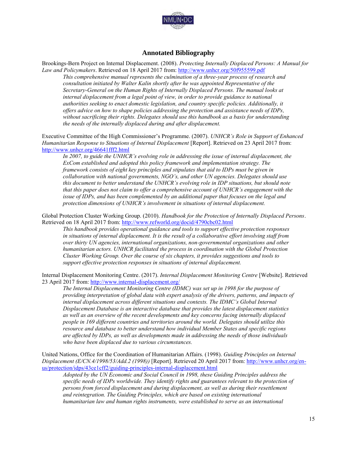

## **Annotated Bibliography**

Brookings-Bern Project on Internal Displacement. (2008). *Protecting Internally Displaced Persons: A Manual for Law and Policymakers*. Retrieved on 18 April 2017 from:<http://www.unhcr.org/50f955599.pdf>

*This comprehensive manual represents the culmination of a three-year process of research and consultation initiated by Walter Kalin shortly after he was appointed Representative of the Secretary-General on the Human Rights of Internally Displaced Persons. The manual looks at internal displacement from a legal point of view, in order to provide guidance to national authorities seeking to enact domestic legislation, and country specific policies. Additionally, it offers advice on how to shape policies addressing the protection and assistance needs of IDPs, without sacrificing their rights. Delegates should use this handbook as a basis for understanding the needs of the internally displaced during and after displacement.* 

Executive Committee of the High Commissioner's Programme. (2007). *UNHCR's Role in Support of Enhanced Humanitarian Response to Situations of Internal Displacement* [Report]. Retrieved on 23 April 2017 from: <http://www.unhcr.org/46641fff2.html>

*In 2007, to guide the UNHCR's evolving role in addressing the issue of internal displacement, the ExCom established and adopted this policy framework and implementation strategy. The framework consists of eight key principles and stipulates that aid to IDPs must be given in collaboration with national governments, NGO's, and other UN agencies. Delegates should use this document to better understand the UNHCR's evolving role in IDP situations, but should note that this paper does not claim to offer a comprehensive account of UNHCR's engagement with the issue of IDPs, and has been complemented by an additional paper that focuses on the legal and protection dimensions of UNHCR's involvement in situations of internal displacement.* 

Global Protection Cluster Working Group. (2010). *Handbook for the Protection of Internally Displaced Persons*. Retrieved on 18 April 2017 from:<http://www.refworld.org/docid/4790cbc02.html>

*This handbook provides operational guidance and tools to support effective protection responses in situations of internal displacement. It is the result of a collaborative effort involving staff from over thirty UN agencies, international organizations, non-governmental organizations and other humanitarian actors. UNHCR facilitated the process in coordination with the Global Protection Cluster Working Group. Over the course of six chapters, it provides suggestions and tools to support effective protection responses in situations of internal displacement.* 

Internal Displacement Monitoring Centre. (2017). *Internal Displacement Monitoring Centre* [Website]. Retrieved 23 April 2017 from:<http://www.internal-displacement.org/>

*The Internal Displacement Monitoring Centre (IDMC) was set up in 1998 for the purpose of providing interpretation of global data with expert analysis of the drivers, patterns, and impacts of internal displacement across different situations and contexts. The IDMC's Global Internal Displacement Database is an interactive database that provides the latest displacement statistics as well as an overview of the recent developments and key concerns facing internally displaced people in 169 different countries and territories around the world. Delegates should utilize this resource and database to better understand how individual Member States and specific regions are affected by IDPs, as well as developments made in addressing the needs of those individuals who have been displaced due to various circumstances.* 

United Nations, Office for the Coordination of Humanitarian Affairs. (1998). *Guiding Principles on Internal Displacement (E/CN.4/1998/53/Add.2 (1998))* [Report]. Retrieved 20 April 2017 from: [http://www.unhcr.org/en](http://www.unhcr.org/en-us/protection/idps/43ce1cff2/guiding-principles-internal-displacement.html)[us/protection/idps/43ce1cff2/guiding-principles-internal-displacement.html](http://www.unhcr.org/en-us/protection/idps/43ce1cff2/guiding-principles-internal-displacement.html)

*Adopted by the UN Economic and Social Council in 1998, these Guiding Principles address the specific needs of IDPs worldwide. They identify rights and guarantees relevant to the protection of persons from forced displacement and during displacement, as well as during their resettlement and reintegration. The Guiding Principles, which are based on existing international humanitarian law and human rights instruments, were established to serve as an international*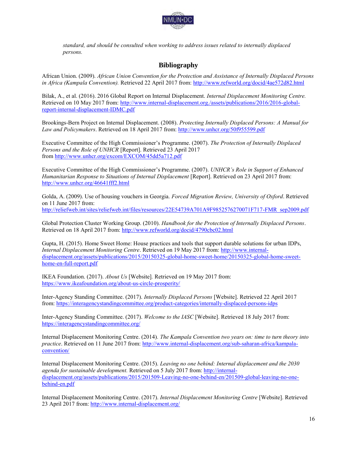

*standard, and should be consulted when working to address issues related to internally displaced persons.* 

## **Bibliography**

African Union. (2009). *African Union Convention for the Protection and Assistance of Internally Displaced Persons in Africa (Kampala Convention).* Retrieved 22 April 2017 from:<http://www.refworld.org/docid/4ae572d82.html>

Bilak, A., et al. (2016). 2016 Global Report on Internal Displacement. *Internal Displacement Monitoring Centre.* Retrieved on 10 May 2017 from: [http://www.internal-displacement.org./assets/publications/2016/2016-global](http://www.internal-displacement.org./assets/publications/2016/2016-global-report-internal-displacement-IDMC.pdf)[report-internal-displacement-IDMC.pdf](http://www.internal-displacement.org./assets/publications/2016/2016-global-report-internal-displacement-IDMC.pdf)

Brookings-Bern Project on Internal Displacement. (2008). *Protecting Internally Displaced Persons: A Manual for Law and Policymakers*. Retrieved on 18 April 2017 from:<http://www.unhcr.org/50f955599.pdf>

Executive Committee of the High Commissioner's Programme. (2007). *The Protection of Internally Displaced Persons and the Role of UNHCR* [Report]. Retrieved 23 April 2017 from<http://www.unhcr.org/excom/EXCOM/45dd5a712.pdf>

Executive Committee of the High Commissioner's Programme. (2007). *UNHCR's Role in Support of Enhanced Humanitarian Response to Situations of Internal Displacement* [Report]. Retrieved on 23 April 2017 from: <http://www.unhcr.org/46641fff2.html>

Golda, A. (2009). Use of housing vouchers in Georgia. *Forced Migration Review, University of Oxford*. Retrieved on 11 June 2017 from: [http://reliefweb.int/sites/reliefweb.int/files/resources/22E54739A701A9F9852576270071F717-FMR\\_sep2009.pdf](http://reliefweb.int/sites/reliefweb.int/files/resources/22E54739A701A9F9852576270071F717-FMR_sep2009.pdf)

Global Protection Cluster Working Group. (2010). *Handbook for the Protection of Internally Displaced Persons*. Retrieved on 18 April 2017 from:<http://www.refworld.org/docid/4790cbc02.html>

Gupta, H. (2015). Home Sweet Home: House practices and tools that support durable solutions for urban IDPs, *Internal Displacement Monitoring Centre*. Retrieved on 19 May 2017 from: [http://www.internal](http://www.internal-displacement.org/assets/publications/2015/20150325-global-home-sweet-home/20150325-global-home-sweet-home-en-full-report.pdf)[displacement.org/assets/publications/2015/20150325-global-home-sweet-home/20150325-global-home-sweet](http://www.internal-displacement.org/assets/publications/2015/20150325-global-home-sweet-home/20150325-global-home-sweet-home-en-full-report.pdf)[home-en-full-report.pdf](http://www.internal-displacement.org/assets/publications/2015/20150325-global-home-sweet-home/20150325-global-home-sweet-home-en-full-report.pdf)

IKEA Foundation. (2017). *About Us* [Website]*.* Retrieved on 19 May 2017 from: <https://www.ikeafoundation.org/about-us-circle-prosperity/>

Inter-Agency Standing Committee. (2017). *Internally Displaced Persons* [Website]. Retrieved 22 April 2017 from[: https://interagencystandingcommittee.org/product-categories/internally-displaced-persons-idps](https://interagencystandingcommittee.org/product-categories/internally-displaced-persons-idps) 

Inter-Agency Standing Committee. (2017). *Welcome to the IASC* [Website]. Retrieved 18 July 2017 from: <https://interagencystandingcommittee.org/>

Internal Displacement Monitoring Centre. (2014)*. The Kampala Convention two years on: time to turn theory into practice*. Retrieved on 11 June 2017 from: [http://www.internal-displacement.org/sub-saharan-africa/kampala](http://www.internal-displacement.org/sub-saharan-africa/kampala-convention/)[convention/](http://www.internal-displacement.org/sub-saharan-africa/kampala-convention/)

Internal Displacement Monitoring Centre. (2015). *Leaving no one behind: Internal displacement and the 2030 agenda for sustainable development.* Retrieved on 5 July 2017 from: [http://internal](http://internal-displacement.org/assets/publications/2015/201509-Leaving-no-one-behind-en/201509-global-leaving-no-one-behind-en.pdf)[displacement.org/assets/publications/2015/201509-Leaving-no-one-behind-en/201509-global-leaving-no-one](http://internal-displacement.org/assets/publications/2015/201509-Leaving-no-one-behind-en/201509-global-leaving-no-one-behind-en.pdf)[behind-en.pdf](http://internal-displacement.org/assets/publications/2015/201509-Leaving-no-one-behind-en/201509-global-leaving-no-one-behind-en.pdf)

Internal Displacement Monitoring Centre. (2017). *Internal Displacement Monitoring Centre* [Website]. Retrieved 23 April 2017 from:<http://www.internal-displacement.org/>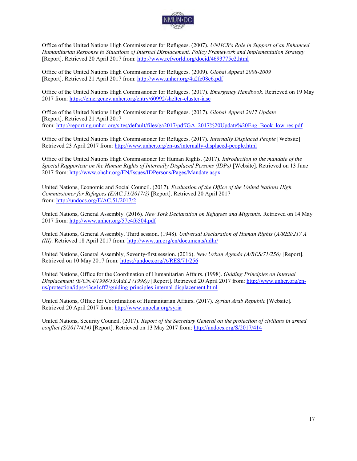

Office of the United Nations High Commissioner for Refugees. (2007). *UNHCR's Role in Support of an Enhanced Humanitarian Response to Situations of Internal Displacement. Policy Framework and Implementation Strategy*  [Report]. Retrieved 20 April 2017 from:<http://www.refworld.org/docid/4693775c2.html>

Office of the United Nations High Commissioner for Refugees. (2009). *Global Appeal 2008-2009*  [Report]. Retrieved 21 April 2017 from:<http://www.unhcr.org/4a2fc08c6.pdf>

Office of the United Nations High Commissioner for Refugees. (2017). *Emergency Handbook*. Retrieved on 19 May 2017 from:<https://emergency.unhcr.org/entry/60992/shelter-cluster-iasc>

Office of the United Nations High Commissioner for Refugees. (2017). *Global Appeal 2017 Update* [Report]. Retrieved 21 April 2017 from[: http://reporting.unhcr.org/sites/default/files/ga2017/pdf/GA\\_2017%20Update%20Eng\\_Book\\_low-res.pdf](http://reporting.unhcr.org/sites/default/files/ga2017/pdf/GA_2017%20Update%20Eng_Book_low-res.pdf)

Office of the United Nations High Commissioner for Refugees. (2017). *Internally Displaced People* [Website] Retrieved 23 April 2017 from:<http://www.unhcr.org/en-us/internally-displaced-people.html>

Office of the United Nations High Commissioner for Human Rights. (2017). *Introduction to the mandate of the Special Rapporteur on the Human Rights of Internally Displaced Persons (IDPs)* [Website]. Retrieved on 13 June 2017 from:<http://www.ohchr.org/EN/Issues/IDPersons/Pages/Mandate.aspx>

United Nations, Economic and Social Council. (2017). *Evaluation of the Office of the United Nations High Commissioner for Refugees (E/AC.51/2017/2)* [Report]. Retrieved 20 April 2017 from[: http://undocs.org/E/AC.51/2017/2](http://undocs.org/E/AC.51/2017/2) 

United Nations, General Assembly. (2016). *New York Declaration on Refugees and Migrants.* Retrieved on 14 May 2017 from:<http://www.unhcr.org/57e4f6504.pdf>

United Nations, General Assembly, Third session. (1948). *Universal Declaration of Human Rights* (*A/RES/217 A (III).* Retrieved 18 April 2017 from:<http://www.un.org/en/documents/udhr/>

United Nations, General Assembly, Seventy-first session. (2016). *New Urban Agenda (A/RES/71/256)* [Report]. Retrieved on 10 May 2017 from:<https://undocs.org/A/RES/71/256>

United Nations, Office for the Coordination of Humanitarian Affairs. (1998). *Guiding Principles on Internal Displacement (E/CN.4/1998/53/Add.2 (1998))* [Report]. Retrieved 20 April 2017 from: [http://www.unhcr.org/en](http://www.unhcr.org/en-us/protection/idps/43ce1cff2/guiding-principles-internal-displacement.html)[us/protection/idps/43ce1cff2/guiding-principles-internal-displacement.html](http://www.unhcr.org/en-us/protection/idps/43ce1cff2/guiding-principles-internal-displacement.html)

United Nations, Office for Coordination of Humanitarian Affairs. (2017). *Syrian Arab Republic* [Website]. Retrieved 20 April 2017 from:<http://www.unocha.org/syria>

United Nations, Security Council. (2017). *Report of the Secretary General on the protection of civilians in armed conflict (S/2017/414)* [Report]. Retrieved on 13 May 2017 from:<http://undocs.org/S/2017/414>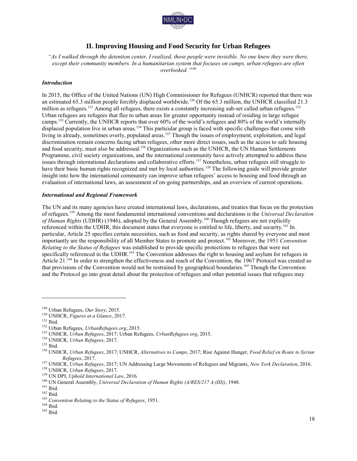

## **II. Improving Housing and Food Security for Urban Refugees**

*"As I walked through the detention center, I realized, these people were invisible. No one knew they were there, except their community members. In a humanitarian system that focuses on camps, urban refugees are often overlooked."*<sup>149</sup>

#### *Introduction*

In 2015, the Office of the United Nations (UN) High Commissioner for Refugees (UNHCR) reported that there was an estimated 65.3 million people forcibly displaced worldwide.<sup>150</sup> Of the 65.3 million, the UNHCR classified 21.3 million as refugees.<sup>151</sup> Among all refugees, there exists a constantly increasing sub-set called urban refugees.<sup>152</sup> Urban refugees are refugees that flee to urban areas for greater opportunity instead of residing in large refugee camps.<sup>153</sup> Currently, the UNHCR reports that over 60% of the world's refugees and 80% of the world's internally displaced population live in urban areas.<sup>154</sup> This particular group is faced with specific challenges that come with living in already, sometimes overly, populated areas.<sup>155</sup> Though the issues of employment, exploitation, and legal discrimination remain concerns facing urban refugees, other more direct issues, such as the access to safe housing and food security, must also be addressed.<sup>156</sup> Organizations such as the UNHCR, the UN Human Settlements Programme, civil society organizations, and the international community have actively attempted to address these issues through international declarations and collaborative efforts.<sup>157</sup> Nonetheless, urban refugees still struggle to have their basic human rights recognized and met by local authorities.<sup>158</sup> The following guide will provide greater insight into how the international community can improve urban refugees' access to housing and food through an evaluation of international laws, an assessment of on-going partnerships, and an overview of current operations.

#### *International and Regional Framework*

The UN and its many agencies have created international laws, declarations, and treaties that focus on the protection of refugees.<sup>159</sup> Among the most fundamental international conventions and declarations is the *Universal Declaration of Human Rights* (UDHR) (1946), adopted by the General Assembly.<sup>160</sup> Though refugees are not explicitly referenced within the UDHR, this document states that everyone is entitled to life, liberty, and security.<sup>161</sup> In particular, Article 25 specifies certain necessities, such as food and security, as rights shared by everyone and most importantly are the responsibility of all Member States to promote and protect.<sup>162</sup> Moreover, the 1951 *Convention Relating to the Status of Refugees* was established to provide specific protections to refugees that were not specifically referenced in the UDHR.<sup>163</sup> The Convention addresses the right to housing and asylum for refugees in Article 21.<sup>164</sup> In order to strengthen the effectiveness and reach of the Convention, the 1967 Protocol was created so that provisions of the Convention would not be restrained by geographical boundaries.<sup>165</sup> Though the Convention and the Protocol go into great detail about the protection of refugees and other potential issues that refugees may

 $\overline{a}$ 

 $^{164}$  Ibid.

<sup>149</sup> Urban Refugees, *Our Story*, 2015.

<sup>150</sup> UNHCR, *Figures at a Glance*, 2017.

<sup>151</sup> Ibid.

<sup>152</sup> Urban Refugees, *UrbanRefugees.org*, 2015.

<sup>153</sup> UNHCR, *Urban Refugees*, 2017; Urban Refugees, *UrbanRefugees.org*, 2015.

<sup>154</sup> UNHCR, *Urban Refugees*, 2017.

 $155$  Ibid.

<sup>156</sup> UNHCR, *Urban Refugees*, 2017; UNHCR, *Alternatives to Camps*, 2017; Rise Against Hunger, *Food Relief en Route to Syrian Refugees*, 2017.

<sup>157</sup> UNHCR, *Urban Refugees*, 2017; UN Addressing Large Movements of Refugees and Migrants, *New York Declaration*, 2016. <sup>158</sup> UNHCR, *Urban Refugees*, 2017.

<sup>159</sup> UN DPI, *Uphold International Law*, 2016*.*

<sup>160</sup> UN General Assembly, *Universal Declaration of Human Rights (A/RES/217 A (III))*, 1948.

 $^{161}$  Ibid.

<sup>162</sup> Ibid.

<sup>163</sup> *Convention Relating to the Status of Refugees*, 1951.

 $165$ Ibid.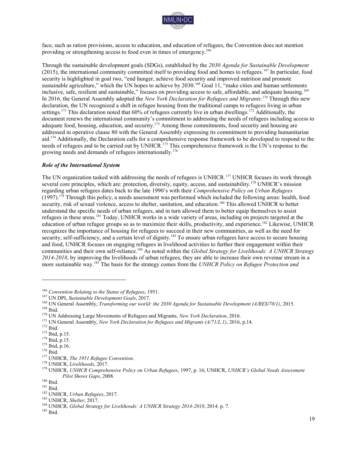

face, such as ration provisions, access to education, and education of refugees, the Convention does not mention providing or strengthening access to food even in times of emergency.<sup>166</sup>

Through the sustainable development goals (SDGs), established by the *2030 Agenda for Sustainable Development* (2015), the international community committed itself to providing food and homes to refugees.<sup>167</sup> In particular, food security is highlighted in goal two, "end hunger, achieve food security and improved nutrition and promote sustainable agriculture," which the UN hopes to achieve by 2030.<sup>168</sup> Goal 11, "make cities and human settlements inclusive, safe, resilient and sustainable," focuses on providing access to safe, affordable, and adequate housing.<sup>169</sup> In 2016, the General Assembly adopted the *New York Declaration for Refugees and Migrants.<sup>170</sup>* Through this new declaration, the UN recognized a shift in refugee housing from the traditional camps to refugees living in urban settings.<sup>171</sup> This declaration noted that 60% of refugees currently live in urban dwellings.<sup>172</sup> Additionally, the document renews the international community's commitment to addressing the needs of refugees including access to adequate food, housing, education, and security.<sup>173</sup> Among those commitments, food security and housing are addressed in operative clause 80 with the General Assembly expressing its commitment to providing humanitarian aid.<sup>174</sup> Additionally, the Declaration calls for a comprehensive response framework to be developed to respond to the needs of refugees and to be carried out by UNHCR.<sup>175</sup> This comprehensive framework is the UN's response to the growing needs and demands of refugees internationally.<sup>176</sup>

#### *Role of the International System*

The UN organization tasked with addressing the needs of refugees is UNHCR*.* <sup>177</sup> UNHCR focuses its work through several core principles, which are: protection, diversity, equity, access, and sustainability.<sup>178</sup> UNHCR's mission regarding urban refugees dates back to the late 1990's with their *Comprehensive Policy on Urban Refugees*  (1997).<sup>179</sup> Through this policy, a needs assessment was performed which included the following areas: health, food security, risk of sexual violence, access to shelter, sanitation, and education.<sup>180</sup> This allowed UNHCR to better understand the specific needs of urban refugees, and in turn allowed them to better equip themselves to assist refugees in these areas.<sup>181</sup> Today, UNHCR works in a wide variety of areas, including on projects targeted at the education of urban refugee groups so as to maximize their skills, productivity, and experience.<sup>182</sup> Likewise, UNHCR recognizes the importance of housing for refugees to succeed in their new communities, as well as the need for security, self-sufficiency, and a certain level of dignity.<sup>183</sup> To ensure urban refugees have access to secure housing and food, UNHCR focuses on engaging refugees in livelihood activities to further their engagement within their communities and their own self-reliance.<sup>184</sup> As noted within the *Global Strategy for Livelihoods: A UNHCR Strategy 2014-2018*, by improving the livelihoods of urban refugees, they are able to increase their own revenue stream in a more sustainable way.<sup>185</sup> The basis for the strategy comes from the *UNHCR Policy on Refugee Protection and* 

<sup>166</sup> *Convention Relating to the Status of Refugees*, 1951.

<sup>167</sup> UN DPI, *Sustainable Development Goals*, 2017.

<sup>168</sup> UN General Assembly, *Transforming our world: the 2030 Agenda for Sustainable Development (A/RES/70/1)*, 2015.

<sup>169</sup> Ibid.

<sup>170</sup> UN Addressing Large Movements of Refugees and Migrants, *New York Declaration*, 2016.

<sup>171</sup> UN General Assembly, *New York Declaration for Refugees and Migrants (A/71/L.1)*, 2016, p.14.

 $172$  Ibid.

<sup>173</sup> Ibid, p.15.

<sup>174</sup> Ibid, p.15.

<sup>175</sup> Ibid, p.16.

 $176$  Ibid.

<sup>177</sup> UNHCR, *The 1951 Refugee Convention*.

<sup>178</sup> UNHCR, *Livelihoods*, 2017.

<sup>179</sup> UNHCR, *UNHCR Comprehensive Policy on Urban Refugees*, 1997, p. 16; UNHCR, *UNHCR's Global Needs Assessment Pilot Shows Gaps*, 2008.

<sup>180</sup> Ibid.

<sup>181</sup> Ibid.

<sup>182</sup> UNHCR, *Urban Refugees*, 2017.

<sup>183</sup> UNHCR, *Shelter*, 2017.

<sup>184</sup> UNHCR, *Global Strategy for Livelihoods: A UNHCR Strategy 2014-2018*, 2014. p. 7.

 $^{\rm 185}$  Ibid.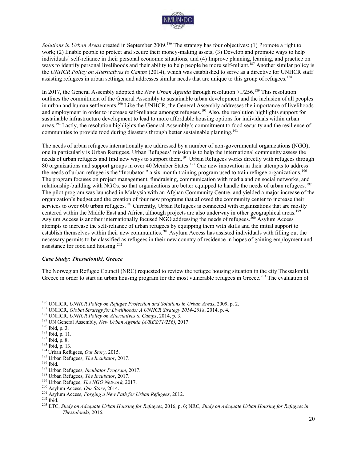

*Solutions in Urban Areas* created in September 2009.<sup>186</sup> The strategy has four objectives: (1) Promote a right to work; (2) Enable people to protect and secure their money-making assets; (3) Develop and promote ways to help individuals' self-reliance in their personal economic situations; and (4) Improve planning, learning, and practice on ways to identify personal livelihoods and their ability to help people be more self-reliant.<sup>187</sup> Another similar policy is the *UNHCR Policy on Alternatives to Camps* (2014), which was established to serve as a directive for UNHCR staff assisting refugees in urban settings, and addresses similar needs that are unique to this group of refugees.<sup>188</sup>

In 2017, the General Assembly adopted the *New Urban Agenda* through resolution 71/256.<sup>189</sup> This resolution outlines the commitment of the General Assembly to sustainable urban development and the inclusion of all peoples in urban and human settlements.<sup>190</sup> Like the UNHCR, the General Assembly addresses the importance of livelihoods and employment in order to increase self-reliance amongst refugees.<sup>191</sup> Also, the resolution highlights support for sustainable infrastructure development to lead to more affordable housing options for individuals within urban areas.<sup>192</sup> Lastly, the resolution highlights the General Assembly's commitment to food security and the resilience of communities to provide food during disasters through better sustainable planning.<sup>193</sup>

The needs of urban refugees internationally are addressed by a number of non-governmental organizations (NGO); one in particularly is Urban Refugees. Urban Refugees' mission is to help the international community assess the needs of urban refugees and find new ways to support them.<sup>194</sup> Urban Refugees works directly with refugees through 80 organizations and support groups in over 40 Member States.<sup>195</sup> One new innovation in their attempts to address the needs of urban refugee is the "Incubator," a six-month training program used to train refugee organizations.<sup>196</sup> The program focuses on project management, fundraising, communication with media and on social networks, and relationship-building with NGOs, so that organizations are better equipped to handle the needs of urban refugees.<sup>197</sup> The pilot program was launched in Malaysia with an Afghan Community Centre, and yielded a major increase of the organization's budget and the creation of four new programs that allowed the community center to increase their services to over 600 urban refugees.<sup>198</sup> Currently, Urban Refugees is connected with organizations that are mostly centered within the Middle East and Africa, although projects are also underway in other geographical areas.<sup>199</sup> Asylum Access is another internationally focused NGO addressing the needs of refugees.<sup>200</sup> Asylum Access attempts to increase the self-reliance of urban refugees by equipping them with skills and the initial support to establish themselves within their new communities.<sup>201</sup> Asylum Access has assisted individuals with filling out the necessary permits to be classified as refugees in their new country of residence in hopes of gaining employment and assistance for food and housing.<sup>202</sup>

#### *Case Study: Thessaloniki, Greece*

The Norwegian Refugee Council (NRC) requested to review the refugee housing situation in the city Thessaloniki, Greece in order to start an urban housing program for the most vulnerable refugees in Greece.<sup>203</sup> The evaluation of

<sup>186</sup> UNHCR, *UNHCR Policy on Refugee Protection and Solutions in Urban Areas*, 2009, p. 2.

<sup>187</sup> UNHCR, *Global Strategy for Livelihoods: A UNHCR Strategy 2014-2018*, 2014, p. 4.

<sup>188</sup> UNHCR, *UNHCR Policy on Alternatives to Camps*, 2014, p. 3.

<sup>189</sup> UN General Assembly, *New Urban Agenda (A/RES/71/256)*, 2017.

<sup>190</sup> Ibid, p. 3.

<sup>191</sup> Ibid, p. 11.

<sup>192</sup> Ibid, p. 8.

<sup>193</sup> Ibid, p. 13.

<sup>194</sup> Urban Refugees, *Our Story*, 2015.

<sup>195</sup> Urban Refugees, *The Incubator*, 2017.

<sup>196</sup> Ibid.

<sup>197</sup> Urban Refugees, *Incubator Program*, 2017.

<sup>198</sup> Urban Refugees, *The Incubator*, 2017.

<sup>199</sup> Urban Refugee, *The NGO Network*, 2017.

<sup>200</sup> Asylum Access, *Our Story*, 2014.

<sup>201</sup> Asylum Access, *Forging a New Path for Urban Refugees*, 2012.

<sup>202</sup> Ibid.

<sup>203</sup> ETC, *Study on Adequate Urban Housing for Refugees*, 2016, p. 6; NRC, *Study on Adequate Urban Housing for Refugees in Thessaloniki*, 2016.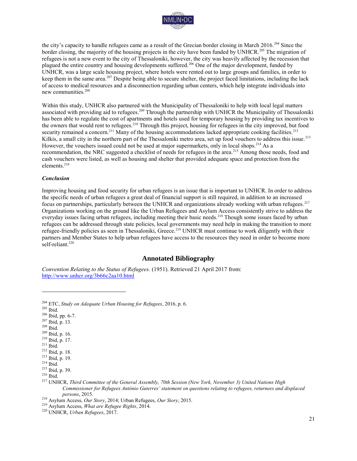

the city's capacity to handle refugees came as a result of the Grecian border closing in March 2016.<sup>204</sup> Since the border closing, the majority of the housing projects in the city have been funded by UNHCR.<sup>205</sup> The migration of refugees is not a new event to the city of Thessaloniki, however, the city was heavily affected by the recession that plagued the entire country and housing developments suffered.<sup>206</sup> One of the major development, funded by UNHCR, was a large scale housing project, where hotels were rented out to large groups and families, in order to keep them in the same area.<sup>207</sup> Despite being able to secure shelter, the project faced limitations, including the lack of access to medical resources and a disconnection regarding urban centers, which help integrate individuals into new communities.<sup>208</sup>

Within this study, UNHCR also partnered with the Municipality of Thessaloniki to help with local legal matters associated with providing aid to refugees.<sup>209</sup> Through the partnership with UNHCR the Municipality of Thessaloniki has been able to regulate the cost of apartments and hotels used for temporary housing by providing tax incentives to the owners that would rent to refugees.<sup>210</sup> Through this project, housing for refugees in the city improved, but food security remained a concern.<sup>211</sup> Many of the housing accommodations lacked appropriate cooking facilities.<sup>212</sup> Kilkis, a small city in the northern part of the Thessaloniki metro area, set up food vouchers to address this issue.<sup>213</sup> However, the vouchers issued could not be used at major supermarkets, only in local shops.<sup>214</sup> As a recommendation, the NRC suggested a checklist of needs for refugees in the area.<sup>215</sup> Among those needs, food and cash vouchers were listed, as well as housing and shelter that provided adequate space and protection from the elements.<sup>216</sup>

#### *Conclusion*

Improving housing and food security for urban refugees is an issue that is important to UNHCR. In order to address the specific needs of urban refugees a great deal of financial support is still required, in addition to an increased focus on partnerships, particularly between the UNHCR and organizations already working with urban refugees.<sup>217</sup> Organizations working on the ground like the Urban Refugees and Asylum Access consistently strive to address the everyday issues facing urban refugees, including meeting their basic needs.<sup>218</sup> Though some issues faced by urban refugees can be addressed through state policies, local governments may need help in making the transition to more refugee-friendly policies as seen in Thessaloniki, Greece.<sup>219</sup> UNHCR must continue to work diligently with their partners and Member States to help urban refugees have access to the resources they need in order to become more self-reliant.<sup>220</sup>

### **Annotated Bibliography**

*Convention Relating to the Status of Refugees.* (1951). Retrieved 21 April 2017 from: <http://www.unhcr.org/3b66c2aa10.html>

<sup>205</sup> Ibid.

- <sup>206</sup> Ibid, pp. 6-7.
- <sup>207</sup> Ibid, p. 13.
- <sup>208</sup> Ibid.
- <sup>209</sup> Ibid, p. 16.
- <sup>210</sup> Ibid, p. 17.
- $211$  Ibid.
- <sup>212</sup> Ibid, p. 18.

<sup>204</sup> ETC, *Study on Adequate Urban Housing for Refugees*, 2016, p. 6.

<sup>213</sup> Ibid, p. 19. <sup>214</sup> Ibid.

<sup>215</sup> Ibid, p. 39.

<sup>216</sup> Ibid.

<sup>217</sup> UNHCR, *Third Committee of the General Assembly, 70th Session (New York, November 3) United Nations High Commissioner for Refugees António Guterres' statement on questions relating to refugees, returnees and displaced persons*, 2015.

<sup>218</sup> Asylum Access, *Our Story*, 2014; Urban Refugees, *Our Story*, 2015.

<sup>219</sup> Asylum Access, *What are Refugee Rights*, 2014.

<sup>220</sup> UNHCR, *Urban Refugees*, 2017.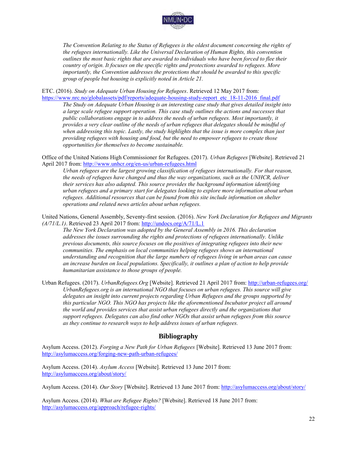

*The Convention Relating to the Status of Refugees is the oldest document concerning the rights of the refugees internationally. Like the Universal Declaration of Human Rights, this convention outlines the most basic rights that are awarded to individuals who have been forced to flee their country of origin. It focuses on the specific rights and protections awarded to refugees. More importantly, the Convention addresses the protections that should be awarded to this specific group of people but housing is explicitly noted in Article 21.* 

ETC. (2016). *Study on Adequate Urban Housing for Refugees*. Retrieved 12 May 2017 from: [https://www.nrc.no/globalassets/pdf/reports/adequate-housing-study-report\\_etc\\_18-11-2016\\_final.pdf](https://www.nrc.no/globalassets/pdf/reports/adequate-housing-study-report_etc_18-11-2016_final.pdf)

*The Study on Adequate Urban Housing is an interesting case study that gives detailed insight into a large scale refugee support operation. This case study outlines the actions and successes that public collaborations engage in to address the needs of urban refugees. Most importantly, it provides a very clear outline of the needs of urban refugees that delegates should be mindful of when addressing this topic. Lastly, the study highlights that the issue is more complex than just providing refugees with housing and food, but the need to empower refugees to create those opportunities for themselves to become sustainable.* 

Office of the United Nations High Commissioner for Refugees. (2017). *Urban Refugees* [Website]. Retrieved 21 April 2017 from:<http://www.unhcr.org/en-us/urban-refugees.html>

*Urban refugees are the largest growing classification of refugees internationally. For that reason, the needs of refugees have changed and thus the way organizations, such as the UNHCR, deliver their services has also adapted. This source provides the background information identifying urban refugees and a primary start for delegates looking to explore more information about urban refugees. Additional resources that can be found from this site include information on shelter operations and related news articles about urban refugees.* 

United Nations, General Assembly, Seventy-first session. (2016). *New York Declaration for Refugees and Migrants (A/71/L.1)*. Retrieved 23 April 2017 from:<http://undocs.org/A/71/L.1>

*The New York Declaration was adopted by the General Assembly in 2016. This declaration addresses the issues surrounding the rights and protections of refugees internationally. Unlike previous documents, this source focuses on the positives of integrating refugees into their new communities. The emphasis on local communities helping refugees shows an international understanding and recognition that the large numbers of refugees living in urban areas can cause an increase burden on local populations. Specifically, it outlines a plan of action to help provide humanitarian assistance to those groups of people.* 

Urban Refugees. (2017). *UrbanRefugees.Org* [Website]. Retrieved 21 April 2017 from:<http://urban-refugees.org/> *UrbanRefugees.org is an international NGO that focuses on urban refugees. This source will give delegates an insight into current projects regarding Urban Refugees and the groups supported by this particular NGO. This NGO has projects like the aforementioned Incubator project all around the world and provides services that assist urban refugees directly and the organizations that support refugees. Delegates can also find other NGOs that assist urban refugees from this source as they continue to research ways to help address issues of urban refugees.* 

## **Bibliography**

Asylum Access. (2012). *Forging a New Path for Urban Refugees* [Website]. Retrieved 13 June 2017 from: <http://asylumaccess.org/forging-new-path-urban-refugees/>

Asylum Access. (2014). *Asylum Access* [Website]. Retrieved 13 June 2017 from: <http://asylumaccess.org/about/story/>

Asylum Access. (2014). *Our Story* [Website]. Retrieved 13 June 2017 from[: http://asylumaccess.org/about/story/](http://asylumaccess.org/about/story/) 

Asylum Access. (2014). *What are Refugee Rights?* [Website]. Retrieved 18 June 2017 from: <http://asylumaccess.org/approach/refugee-rights/>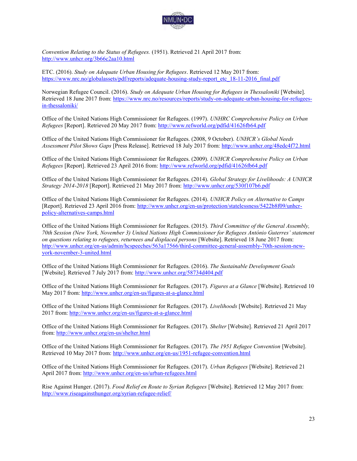

*Convention Relating to the Status of Refugees.* (1951). Retrieved 21 April 2017 from: <http://www.unhcr.org/3b66c2aa10.html>

ETC. (2016). *Study on Adequate Urban Housing for Refugees*. Retrieved 12 May 2017 from: https://www.nrc.no/globalassets/pdf/reports/adequate-housing-study-report\_etc\_18-11-2016\_final.pdf

Norwegian Refugee Council. (2016). *Study on Adequate Urban Housing for Refugees in Thessaloniki* [Website]. Retrieved 18 June 2017 from: [https://www.nrc.no/resources/reports/study-on-adequate-urban-housing-for-refugees](https://www.nrc.no/resources/reports/study-on-adequate-urban-housing-for-refugees-in-thessaloniki/)[in-thessaloniki/](https://www.nrc.no/resources/reports/study-on-adequate-urban-housing-for-refugees-in-thessaloniki/)

Office of the United Nations High Commissioner for Refugees. (1997). *UNHRC Comprehensive Policy on Urban Refugees* [Report]. Retrieved 20 May 2017 from:<http://www.refworld.org/pdfid/41626fb64.pdf>

Office of the United Nations High Commissioner for Refugees. (2008, 9 October). *UNHCR's Global Needs Assessment Pilot Shows Gaps* [Press Release]. Retrieved 18 July 2017 from:<http://www.unhcr.org/48edc4f72.html>

Office of the United Nations High Commissioner for Refugees. (2009). *UNHCR Comprehensive Policy on Urban Refugees* [Report]. Retrieved 23 April 2016 from:<http://www.refworld.org/pdfid/41626fb64.pdf>

Office of the United Nations High Commissioner for Refugees. (2014). *Global Strategy for Livelihoods: A UNHCR Strategy 2014-2018* [Report]. Retrieved 21 May 2017 from:<http://www.unhcr.org/530f107b6.pdf>

Office of the United Nations High Commissioner for Refugees. (2014). *UNHCR Policy on Alternative to Camps*  [Report]. Retrieved 23 April 2016 from: [http://www.unhcr.org/en-us/protection/statelessness/5422b8f09/unhcr](http://www.unhcr.org/en-us/protection/statelessness/5422b8f09/unhcr-policy-alternatives-camps.html)[policy-alternatives-camps.html](http://www.unhcr.org/en-us/protection/statelessness/5422b8f09/unhcr-policy-alternatives-camps.html) 

Office of the United Nations High Commissioner for Refugees. (2015). *Third Committee of the General Assembly, 70th Session (New York, November 3) United Nations High Commissioner for Refugees António Guterres' statement on questions relating to refugees, returnees and displaced persons* [Website]. Retrieved 18 June 2017 from: [http://www.unhcr.org/en-us/admin/hcspeeches/563a17566/third-committee-general-assembly-70th-session-new](http://www.unhcr.org/en-us/admin/hcspeeches/563a17566/third-committee-general-assembly-70th-session-new-york-november-3-united.html)[york-november-3-united.html](http://www.unhcr.org/en-us/admin/hcspeeches/563a17566/third-committee-general-assembly-70th-session-new-york-november-3-united.html) 

Office of the United Nations High Commissioner for Refugees. (2016). *The Sustainable Development Goals* [Website]. Retrieved 7 July 2017 from:<http://www.unhcr.org/58734d404.pdf>

Office of the United Nations High Commissioner for Refugees. (2017). *Figures at a Glance* [Website]. Retrieved 10 May 2017 from:<http://www.unhcr.org/en-us/figures-at-a-glance.html>

Office of the United Nations High Commissioner for Refugees. (2017). *Livelihoods* [Website]. Retrieved 21 May 2017 from:<http://www.unhcr.org/en-us/figures-at-a-glance.html>

Office of the United Nations High Commissioner for Refugees. (2017). *Shelter* [Website]. Retrieved 21 April 2017 from[: http://www.unhcr.org/en-us/shelter.html](http://www.unhcr.org/en-us/shelter.html) 

Office of the United Nations High Commissioner for Refugees. (2017). *The 1951 Refugee Convention* [Website]. Retrieved 10 May 2017 from:<http://www.unhcr.org/en-us/1951-refugee-convention.html>

Office of the United Nations High Commissioner for Refugees. (2017). *Urban Refugees* [Website]. Retrieved 21 April 2017 from:<http://www.unhcr.org/en-us/urban-refugees.html>

Rise Against Hunger. (2017). *Food Relief en Route to Syrian Refugees* [Website]. Retrieved 12 May 2017 from: <http://www.riseagainsthunger.org/syrian-refugee-relief/>